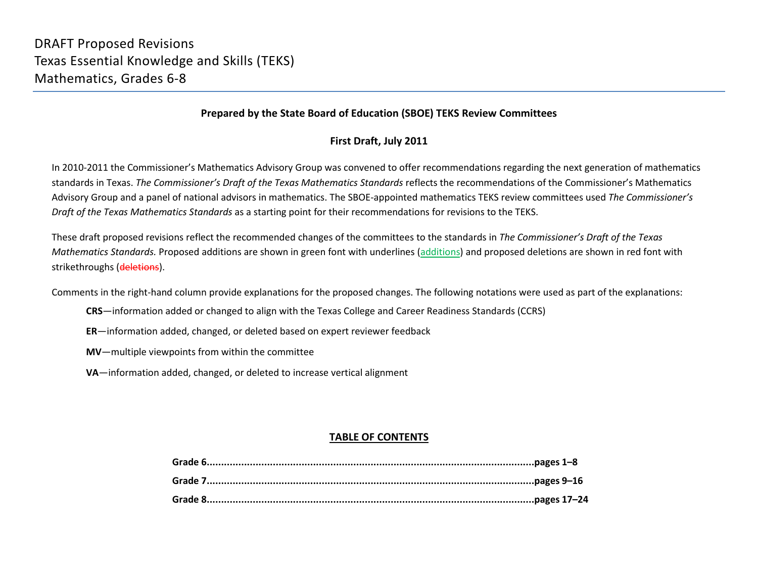#### **Prepared by the State Board of Education (SBOE) TEKS Review Committees**

### **First Draft, July 2011**

In 2010-2011 the Commissioner's Mathematics Advisory Group was convened to offer recommendations regarding the next generation of mathematics standards in Texas. *The Commissioner's Draft of the Texas Mathematics Standards* reflects the recommendations of the Commissioner's Mathematics Advisory Group and a panel of national advisors in mathematics. The SBOE-appointed mathematics TEKS review committees used *The Commissioner's Draft of the Texas Mathematics Standards* as a starting point for their recommendations for revisions to the TEKS.

These draft proposed revisions reflect the recommended changes of the committees to the standards in *The Commissioner's Draft of the Texas Mathematics Standards.* Proposed additions are shown in green font with underlines (additions) and proposed deletions are shown in red font with strikethroughs (deletions).

Comments in the right-hand column provide explanations for the proposed changes. The following notations were used as part of the explanations:

- **CRS**—information added or changed to align with the Texas College and Career Readiness Standards (CCRS)
- **ER**—information added, changed, or deleted based on expert reviewer feedback
- **MV**—multiple viewpoints from within the committee
- **VA**—information added, changed, or deleted to increase vertical alignment

## **TABLE OF CONTENTS**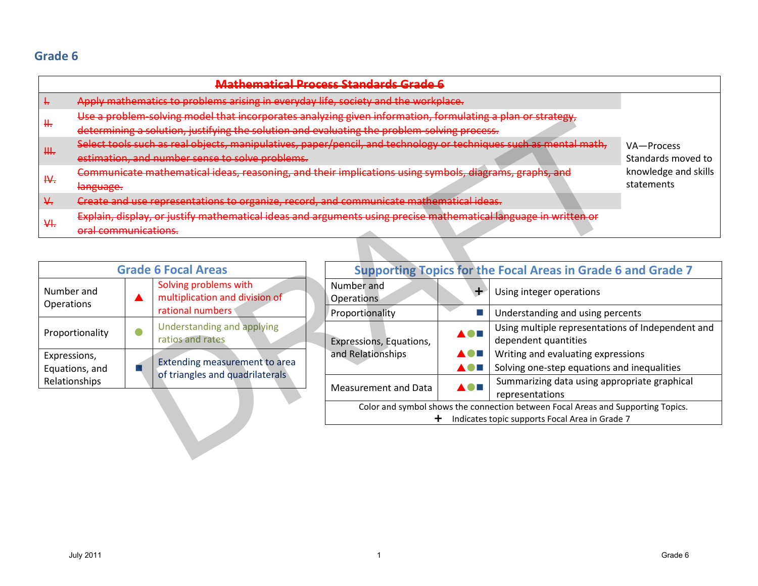|                                         |                                                                                    |  |                                                                                                                   | <b>Mathematical Process Standards Grade (</b> |                          |                                                                                   |                      |
|-----------------------------------------|------------------------------------------------------------------------------------|--|-------------------------------------------------------------------------------------------------------------------|-----------------------------------------------|--------------------------|-----------------------------------------------------------------------------------|----------------------|
| ÷                                       | Apply mathematics to problems arising in everyday life, society and the workplace. |  |                                                                                                                   |                                               |                          |                                                                                   |                      |
| ₩.                                      |                                                                                    |  | Use a problem-solving model that incorporates analyzing given information, formulating a plan or strategy,        |                                               |                          |                                                                                   |                      |
|                                         |                                                                                    |  | determining a solution, justifying the solution and evaluating the problem-solving process.                       |                                               |                          |                                                                                   |                      |
| ₩.                                      |                                                                                    |  | Select tools such as real objects, manipulatives, paper/pencil, and technology or techniques such as mental math, |                                               |                          |                                                                                   | VA-Process           |
|                                         |                                                                                    |  | estimation, and number sense to solve problems.                                                                   |                                               |                          |                                                                                   | Standards moved to   |
| ₩.                                      |                                                                                    |  | Communicate mathematical ideas, reasoning, and their implications using symbols, diagrams, graphs, and            |                                               |                          |                                                                                   | knowledge and skills |
|                                         | language.                                                                          |  |                                                                                                                   |                                               |                          |                                                                                   | statements           |
| $\frac{1}{2}$                           |                                                                                    |  | Create and use representations to organize, record, and communicate mathematical ideas.                           |                                               |                          |                                                                                   |                      |
| H                                       |                                                                                    |  | Explain, display, or justify mathematical ideas and arguments using precise mathematical language in written or   |                                               |                          |                                                                                   |                      |
|                                         | oral communications.                                                               |  |                                                                                                                   |                                               |                          |                                                                                   |                      |
|                                         |                                                                                    |  |                                                                                                                   |                                               |                          |                                                                                   |                      |
|                                         |                                                                                    |  | <b>Grade 6 Focal Areas</b>                                                                                        |                                               |                          | <b>Supporting Topics for the Focal Areas in Grade 6 and Grade 7</b>               |                      |
| Number and                              |                                                                                    |  | Solving problems with                                                                                             | Number and                                    | Using integer operations |                                                                                   |                      |
| Operations                              |                                                                                    |  | multiplication and division of                                                                                    | <b>Operations</b>                             |                          |                                                                                   |                      |
|                                         |                                                                                    |  | rational numbers                                                                                                  | Proportionality                               | П                        | Understanding and using percents                                                  |                      |
|                                         | Proportionality                                                                    |  | Understanding and applying                                                                                        |                                               | A O H                    | Using multiple representations of Independent and                                 |                      |
|                                         |                                                                                    |  | ratios and rates                                                                                                  | Expressions, Equations,                       |                          | dependent quantities                                                              |                      |
| Expressions,                            |                                                                                    |  | Extending measurement to area                                                                                     | and Relationships                             | N O H                    | Writing and evaluating expressions<br>Solving one-step equations and inequalities |                      |
|                                         | Equations, and<br>Relationships                                                    |  | of triangles and quadrilaterals                                                                                   |                                               |                          | Summarizing data using appropriate graphical                                      |                      |
| Measurement and Data<br>representations |                                                                                    |  |                                                                                                                   |                                               |                          |                                                                                   |                      |
|                                         | Color and symbol shows the connection between Focal Areas and Supporting Topics.   |  |                                                                                                                   |                                               |                          |                                                                                   |                      |
|                                         | Indicates topic supports Focal Area in Grade 7                                     |  |                                                                                                                   |                                               |                          |                                                                                   |                      |
|                                         |                                                                                    |  |                                                                                                                   |                                               |                          |                                                                                   |                      |
|                                         |                                                                                    |  |                                                                                                                   |                                               |                          |                                                                                   |                      |

| <b>Grade 6 Focal Areas</b>                                            |  |                                                                  |  |  |
|-----------------------------------------------------------------------|--|------------------------------------------------------------------|--|--|
| Solving problems with<br>Number and<br>Operations<br>rational numbers |  | multiplication and division of                                   |  |  |
| Proportionality                                                       |  | Understanding and applying<br>ratios and rates                   |  |  |
| Expressions,<br>Equations, and<br>Relationships                       |  | Extending measurement to area<br>of triangles and quadrilaterals |  |  |

| <b>Supporting Topics for the Focal Areas in Grade 6 and Grade 7</b>                                                                |  |                                                                           |  |
|------------------------------------------------------------------------------------------------------------------------------------|--|---------------------------------------------------------------------------|--|
| Number and<br>Operations                                                                                                           |  | Using integer operations                                                  |  |
| Proportionality                                                                                                                    |  | Understanding and using percents                                          |  |
| Expressions, Equations,                                                                                                            |  | Using multiple representations of Independent and<br>dependent quantities |  |
| and Relationships                                                                                                                  |  | Writing and evaluating expressions                                        |  |
|                                                                                                                                    |  | Solving one-step equations and inequalities                               |  |
| Measurement and Data                                                                                                               |  | Summarizing data using appropriate graphical<br>representations           |  |
| Color and symbol shows the connection between Focal Areas and Supporting Topics.<br>Indicates topic supports Focal Area in Grade 7 |  |                                                                           |  |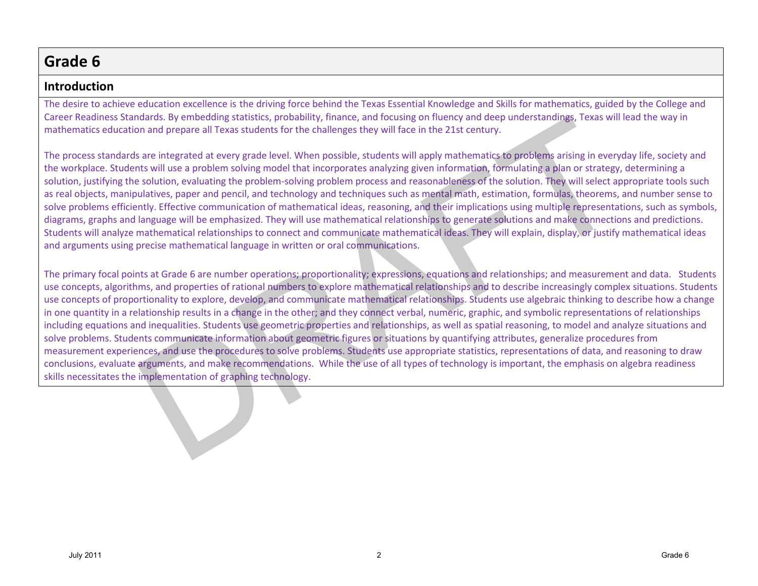## **Introduction**

The desire to achieve education excellence is the driving force behind the Texas Essential Knowledge and Skills for mathematics, guided by the College and Career Readiness Standards. By embedding statistics, probability, finance, and focusing on fluency and deep understandings, Texas will lead the way in mathematics education and prepare all Texas students for the challenges they will face in the 21st century.

The process standards are integrated at every grade level. When possible, students will apply mathematics to problems arising in everyday life, society and the workplace. Students will use a problem solving model that incorporates analyzing given information, formulating a plan or strategy, determining a solution, justifying the solution, evaluating the problem-solving problem process and reasonableness of the solution. They will select appropriate tools such as real objects, manipulatives, paper and pencil, and technology and techniques such as mental math, estimation, formulas, theorems, and number sense to solve problems efficiently. Effective communication of mathematical ideas, reasoning, and their implications using multiple representations, such as symbols, diagrams, graphs and language will be emphasized. They will use mathematical relationships to generate solutions and make connections and predictions. Students will analyze mathematical relationships to connect and communicate mathematical ideas. They will explain, display, or justify mathematical ideas and arguments using precise mathematical language in written or oral communications.

The primary focal points at Grade 6 are number operations; proportionality; expressions, equations and relationships; and measurement and data. Students use concepts, algorithms, and properties of rational numbers to explore mathematical relationships and to describe increasingly complex situations. Students use concepts of proportionality to explore, develop, and communicate mathematical relationships. Students use algebraic thinking to describe how a change in one quantity in a relationship results in a change in the other; and they connect verbal, numeric, graphic, and symbolic representations of relationships including equations and inequalities. Students use geometric properties and relationships, as well as spatial reasoning, to model and analyze situations and solve problems. Students communicate information about geometric figures or situations by quantifying attributes, generalize procedures from measurement experiences, and use the procedures to solve problems. Students use appropriate statistics, representations of data, and reasoning to draw conclusions, evaluate arguments, and make recommendations. While the use of all types of technology is important, the emphasis on algebra readiness skills necessitates the implementation of graphing technology. and or percedual stats they are the other and rocking on users of order and the percedual stats are in the time of the controllations, is well as a set the properties and the percedual stats of the challenges they will fac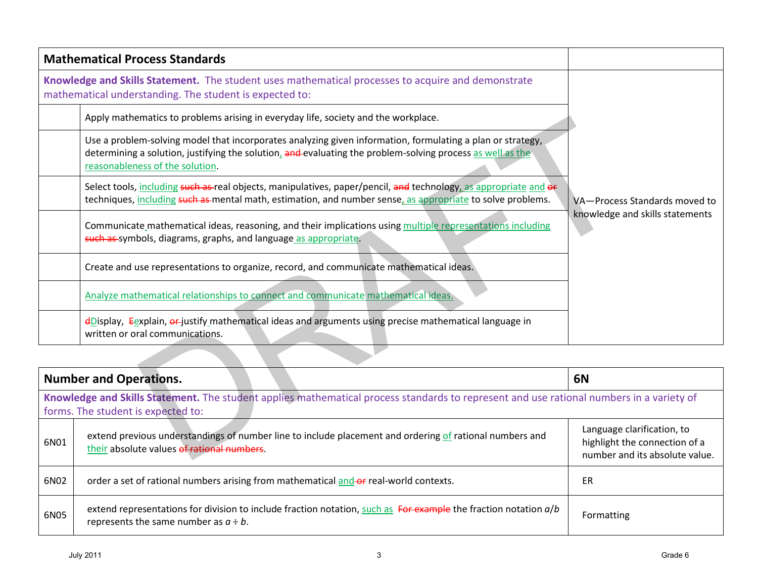|      | <b>Mathematical Process Standards</b>                                                                                                                                                                                                                       |                                                                                               |
|------|-------------------------------------------------------------------------------------------------------------------------------------------------------------------------------------------------------------------------------------------------------------|-----------------------------------------------------------------------------------------------|
|      | Knowledge and Skills Statement. The student uses mathematical processes to acquire and demonstrate<br>mathematical understanding. The student is expected to:                                                                                               |                                                                                               |
|      | Apply mathematics to problems arising in everyday life, society and the workplace.                                                                                                                                                                          |                                                                                               |
|      | Use a problem-solving model that incorporates analyzing given information, formulating a plan or strategy,<br>determining a solution, justifying the solution, and evaluating the problem-solving process as well as the<br>reasonableness of the solution. |                                                                                               |
|      | Select tools, including such as-real objects, manipulatives, paper/pencil, and technology, as appropriate and or<br>techniques, including such as mental math, estimation, and number sense, as appropriate to solve problems.                              | VA-Process Standards moved to                                                                 |
|      | Communicate mathematical ideas, reasoning, and their implications using multiple representations including<br>such as symbols, diagrams, graphs, and language as appropriate.                                                                               | knowledge and skills statements                                                               |
|      | Create and use representations to organize, record, and communicate mathematical ideas.                                                                                                                                                                     |                                                                                               |
|      | Analyze mathematical relationships to connect and communicate mathematical ideas.                                                                                                                                                                           |                                                                                               |
|      | $\frac{d}{dx}$ = $\frac{d}{dx}$ = $\frac{d}{dx}$ = $\frac{d}{dx}$ = $\frac{d}{dx}$ = $\frac{d}{dx}$ = $\frac{d}{dx}$ and arguments using precise mathematical language in<br>written or oral communications.                                                |                                                                                               |
|      |                                                                                                                                                                                                                                                             |                                                                                               |
|      | <b>Number and Operations.</b>                                                                                                                                                                                                                               | <b>6N</b>                                                                                     |
|      | Knowledge and Skills Statement. The student applies mathematical process standards to represent and use rational numbers in a variety of<br>forms. The student is expected to:                                                                              |                                                                                               |
| 6N01 | extend previous understandings of number line to include placement and ordering of rational numbers and<br>their absolute values of rational numbers.                                                                                                       | Language clarification, to<br>highlight the connection of a<br>number and its absolute value. |

|      | <b>Number and Operations.</b>                                                                                                                                                  | 6N                                                                                            |  |  |  |
|------|--------------------------------------------------------------------------------------------------------------------------------------------------------------------------------|-----------------------------------------------------------------------------------------------|--|--|--|
|      | Knowledge and Skills Statement. The student applies mathematical process standards to represent and use rational numbers in a variety of<br>forms. The student is expected to: |                                                                                               |  |  |  |
| 6N01 | extend previous understandings of number line to include placement and ordering of rational numbers and<br>their absolute values of rational numbers.                          | Language clarification, to<br>highlight the connection of a<br>number and its absolute value. |  |  |  |
| 6N02 | order a set of rational numbers arising from mathematical and-of real-world contexts.                                                                                          | ER                                                                                            |  |  |  |
| 6N05 | extend representations for division to include fraction notation, such as For example the fraction notation $a/b$<br>represents the same number as $a \div b$ .                | Formatting                                                                                    |  |  |  |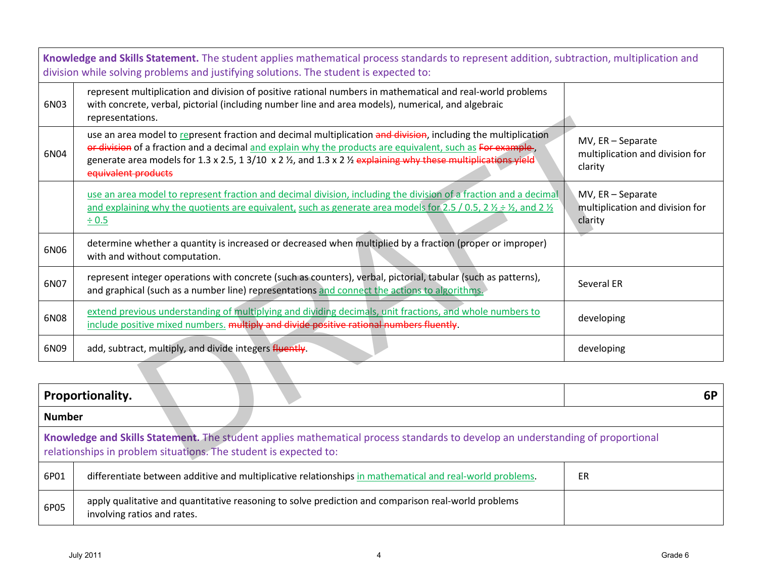| Knowledge and Skills Statement. The student applies mathematical process standards to represent addition, subtraction, multiplication and<br>division while solving problems and justifying solutions. The student is expected to: |                                                                                                                                                                                                                                                                                                                                                                     |                                                                 |  |  |  |
|------------------------------------------------------------------------------------------------------------------------------------------------------------------------------------------------------------------------------------|---------------------------------------------------------------------------------------------------------------------------------------------------------------------------------------------------------------------------------------------------------------------------------------------------------------------------------------------------------------------|-----------------------------------------------------------------|--|--|--|
| 6N03                                                                                                                                                                                                                               | represent multiplication and division of positive rational numbers in mathematical and real-world problems<br>with concrete, verbal, pictorial (including number line and area models), numerical, and algebraic<br>representations.                                                                                                                                |                                                                 |  |  |  |
| 6N04                                                                                                                                                                                                                               | use an area model to represent fraction and decimal multiplication and division, including the multiplication<br>or division of a fraction and a decimal and explain why the products are equivalent, such as For example,<br>generate area models for 1.3 x 2.5, 1 3/10 x 2 1/2, and 1.3 x 2 1/2 explaining why these multiplications yield<br>equivalent products | MV, ER - Separate<br>multiplication and division for<br>clarity |  |  |  |
|                                                                                                                                                                                                                                    | use an area model to represent fraction and decimal division, including the division of a fraction and a decimal<br>and explaining why the quotients are equivalent, such as generate area models for 2.5 / 0.5, 2 $\frac{1}{2}$ + $\frac{1}{2}$ , and 2 $\frac{1}{2}$<br>$\div 0.5$                                                                                | MV, ER - Separate<br>multiplication and division for<br>clarity |  |  |  |
| 6N06                                                                                                                                                                                                                               | determine whether a quantity is increased or decreased when multiplied by a fraction (proper or improper)<br>with and without computation.                                                                                                                                                                                                                          |                                                                 |  |  |  |
| 6N07                                                                                                                                                                                                                               | represent integer operations with concrete (such as counters), verbal, pictorial, tabular (such as patterns),<br>and graphical (such as a number line) representations and connect the actions to algorithms.                                                                                                                                                       | Several ER                                                      |  |  |  |
| 6N08                                                                                                                                                                                                                               | extend previous understanding of multiplying and dividing decimals, unit fractions, and whole numbers to<br>include positive mixed numbers. multiply and divide positive rational numbers fluently.                                                                                                                                                                 | developing                                                      |  |  |  |
| 6N09                                                                                                                                                                                                                               | add, subtract, multiply, and divide integers fluently.                                                                                                                                                                                                                                                                                                              | developing                                                      |  |  |  |
|                                                                                                                                                                                                                                    |                                                                                                                                                                                                                                                                                                                                                                     |                                                                 |  |  |  |
|                                                                                                                                                                                                                                    | Proportionality.<br>6P                                                                                                                                                                                                                                                                                                                                              |                                                                 |  |  |  |
| <b>Number</b>                                                                                                                                                                                                                      |                                                                                                                                                                                                                                                                                                                                                                     |                                                                 |  |  |  |
| Knowledge and Skills Statement. The student applies mathematical process standards to develop an understanding of proportional<br>relationships in problem situations. The student is expected to:                                 |                                                                                                                                                                                                                                                                                                                                                                     |                                                                 |  |  |  |

|                                                                                                                                                                                                    | <b>Proportionality.</b>                                                                                                            | 6P |  |  |
|----------------------------------------------------------------------------------------------------------------------------------------------------------------------------------------------------|------------------------------------------------------------------------------------------------------------------------------------|----|--|--|
| <b>Number</b>                                                                                                                                                                                      |                                                                                                                                    |    |  |  |
| Knowledge and Skills Statement. The student applies mathematical process standards to develop an understanding of proportional<br>relationships in problem situations. The student is expected to: |                                                                                                                                    |    |  |  |
| 6P01                                                                                                                                                                                               | differentiate between additive and multiplicative relationships in mathematical and real-world problems.                           | ER |  |  |
| 6P05                                                                                                                                                                                               | apply qualitative and quantitative reasoning to solve prediction and comparison real-world problems<br>involving ratios and rates. |    |  |  |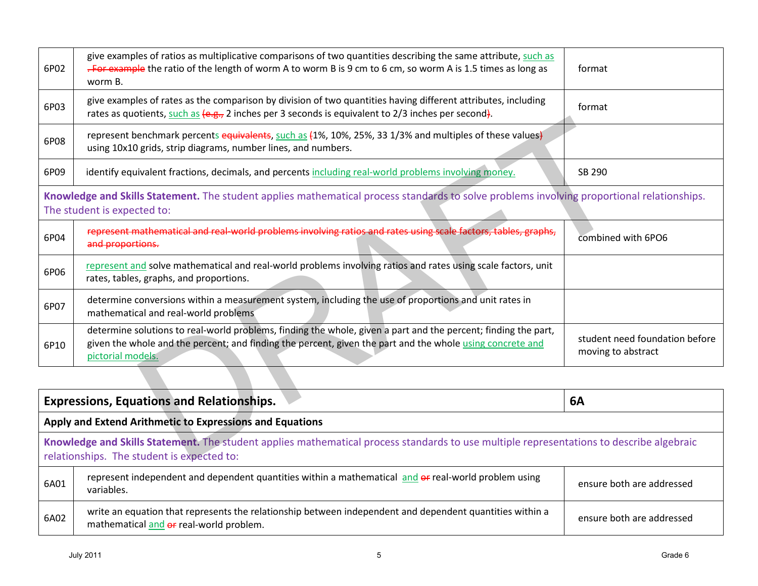|      | <b>Expressions, Equations and Relationships.</b>                                                                                                                                       | 6A                        |  |  |
|------|----------------------------------------------------------------------------------------------------------------------------------------------------------------------------------------|---------------------------|--|--|
|      | Apply and Extend Arithmetic to Expressions and Equations                                                                                                                               |                           |  |  |
|      | Knowledge and Skills Statement. The student applies mathematical process standards to use multiple representations to describe algebraic<br>relationships. The student is expected to: |                           |  |  |
| 6A01 | represent independent and dependent quantities within a mathematical and or real-world problem using<br>variables.                                                                     | ensure both are addressed |  |  |
| 6A02 | write an equation that represents the relationship between independent and dependent quantities within a<br>mathematical and or real-world problem.                                    | ensure both are addressed |  |  |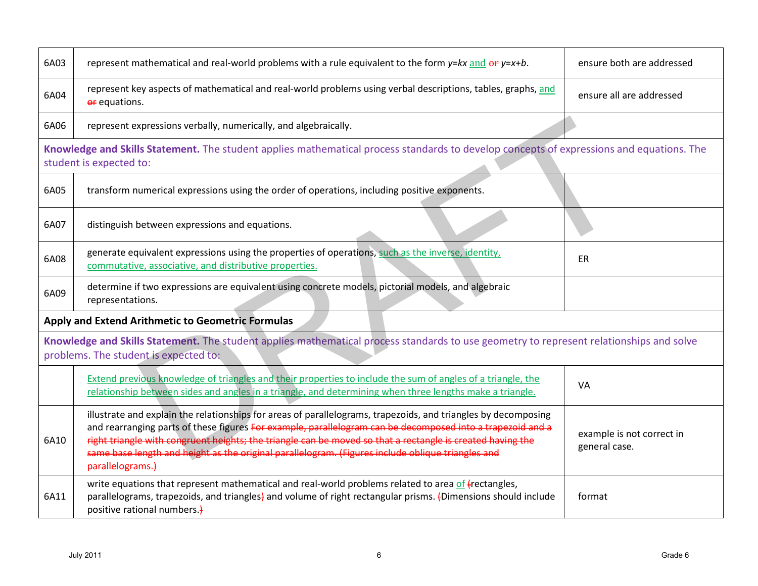| 6A03 | represent mathematical and real-world problems with a rule equivalent to the form $y= kx$ and $\theta f = x + b$ .                                                                                                                                                                                                                                                                                                                                                  | ensure both are addressed                  |
|------|---------------------------------------------------------------------------------------------------------------------------------------------------------------------------------------------------------------------------------------------------------------------------------------------------------------------------------------------------------------------------------------------------------------------------------------------------------------------|--------------------------------------------|
| 6A04 | represent key aspects of mathematical and real-world problems using verbal descriptions, tables, graphs, and<br>or equations.                                                                                                                                                                                                                                                                                                                                       | ensure all are addressed                   |
| 6A06 | represent expressions verbally, numerically, and algebraically.                                                                                                                                                                                                                                                                                                                                                                                                     |                                            |
|      | Knowledge and Skills Statement. The student applies mathematical process standards to develop concepts of expressions and equations. The<br>student is expected to:                                                                                                                                                                                                                                                                                                 |                                            |
| 6A05 | transform numerical expressions using the order of operations, including positive exponents.                                                                                                                                                                                                                                                                                                                                                                        |                                            |
| 6A07 | distinguish between expressions and equations.                                                                                                                                                                                                                                                                                                                                                                                                                      |                                            |
| 6A08 | generate equivalent expressions using the properties of operations, such as the inverse, identity,<br>commutative, associative, and distributive properties.                                                                                                                                                                                                                                                                                                        | <b>ER</b>                                  |
| 6A09 | determine if two expressions are equivalent using concrete models, pictorial models, and algebraic<br>representations.                                                                                                                                                                                                                                                                                                                                              |                                            |
|      | Apply and Extend Arithmetic to Geometric Formulas                                                                                                                                                                                                                                                                                                                                                                                                                   |                                            |
|      | Knowledge and Skills Statement. The student applies mathematical process standards to use geometry to represent relationships and solve<br>problems. The student is expected to:                                                                                                                                                                                                                                                                                    |                                            |
|      | Extend previous knowledge of triangles and their properties to include the sum of angles of a triangle, the<br>relationship between sides and angles in a triangle, and determining when three lengths make a triangle.                                                                                                                                                                                                                                             | <b>VA</b>                                  |
| 6A10 | illustrate and explain the relationships for areas of parallelograms, trapezoids, and triangles by decomposing<br>and rearranging parts of these figures For example, parallelogram can be decomposed into a trapezoid and a<br>right triangle with congruent heights; the triangle can be moved so that a rectangle is created having the<br>same base length and height as the original parallelogram. (Figures include oblique triangles and<br>parallelograms.) | example is not correct in<br>general case. |
| 6A11 | write equations that represent mathematical and real-world problems related to area of (rectangles,<br>parallelograms, trapezoids, and triangles) and volume of right rectangular prisms. (Dimensions should include<br>positive rational numbers.)                                                                                                                                                                                                                 | format                                     |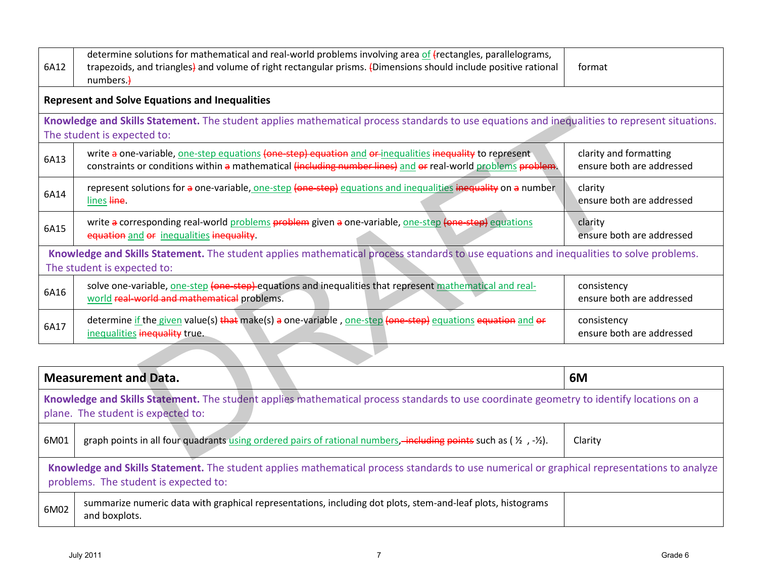| 6A12                                                                                                                                                                           | determine solutions for mathematical and real-world problems involving area of (rectangles, parallelograms,<br>trapezoids, and triangles) and volume of right rectangular prisms. (Dimensions should include positive rational<br>numbers.) | format                                              |  |  |  |
|--------------------------------------------------------------------------------------------------------------------------------------------------------------------------------|---------------------------------------------------------------------------------------------------------------------------------------------------------------------------------------------------------------------------------------------|-----------------------------------------------------|--|--|--|
|                                                                                                                                                                                | <b>Represent and Solve Equations and Inequalities</b>                                                                                                                                                                                       |                                                     |  |  |  |
|                                                                                                                                                                                | Knowledge and Skills Statement. The student applies mathematical process standards to use equations and inequalities to represent situations.<br>The student is expected to:                                                                |                                                     |  |  |  |
| 6A13                                                                                                                                                                           | write a one-variable, one-step equations (one-step) equation and or-inequalities inequality to represent<br>constraints or conditions within a mathematical (including number lines) and or real-world problems problem.                    | clarity and formatting<br>ensure both are addressed |  |  |  |
| 6A14                                                                                                                                                                           | represent solutions for a one-variable, one-step (one-step) equations and inequalities inequality on a number<br>lines line.                                                                                                                | clarity<br>ensure both are addressed                |  |  |  |
| 6A15                                                                                                                                                                           | write a corresponding real-world problems problem given a one-variable, one-step (one step) equations<br>equation and or inequalities inequality.                                                                                           | clarity<br>ensure both are addressed                |  |  |  |
|                                                                                                                                                                                | Knowledge and Skills Statement. The student applies mathematical process standards to use equations and inequalities to solve problems.<br>The student is expected to:                                                                      |                                                     |  |  |  |
| 6A16                                                                                                                                                                           | solve one-variable, one-step (one-step)-equations and inequalities that represent mathematical and real-<br>world real-world and mathematical problems.                                                                                     | consistency<br>ensure both are addressed            |  |  |  |
| 6A17                                                                                                                                                                           | determine if the given value(s) that make(s) a one-variable, one-step (one-step) equations equation and or<br>inequalities inequality true.                                                                                                 | consistency<br>ensure both are addressed            |  |  |  |
|                                                                                                                                                                                |                                                                                                                                                                                                                                             |                                                     |  |  |  |
|                                                                                                                                                                                | <b>Measurement and Data.</b>                                                                                                                                                                                                                | 6M                                                  |  |  |  |
| Knowledge and Skills Statement. The student applies mathematical process standards to use coordinate geometry to identify locations on a<br>plane. The student is expected to: |                                                                                                                                                                                                                                             |                                                     |  |  |  |
| 6M01                                                                                                                                                                           | graph points in all four quadrants using ordered pairs of rational numbers, including points such as ( $\frac{1}{2}$ , $-\frac{1}{2}$ ).                                                                                                    | Clarity                                             |  |  |  |
|                                                                                                                                                                                |                                                                                                                                                                                                                                             |                                                     |  |  |  |

|                                                                                                                                                                                      | <b>Measurement and Data.</b>                                                                                                                                                   | 6M      |  |  |
|--------------------------------------------------------------------------------------------------------------------------------------------------------------------------------------|--------------------------------------------------------------------------------------------------------------------------------------------------------------------------------|---------|--|--|
|                                                                                                                                                                                      | Knowledge and Skills Statement. The student applies mathematical process standards to use coordinate geometry to identify locations on a<br>plane. The student is expected to: |         |  |  |
| 6M01                                                                                                                                                                                 | graph points in all four quadrants using ordered pairs of rational numbers, including points such as ( $\frac{1}{2}$ , $-\frac{1}{2}$ ).                                       | Clarity |  |  |
| Knowledge and Skills Statement. The student applies mathematical process standards to use numerical or graphical representations to analyze<br>problems. The student is expected to: |                                                                                                                                                                                |         |  |  |
| 6M02                                                                                                                                                                                 | summarize numeric data with graphical representations, including dot plots, stem-and-leaf plots, histograms<br>and boxplots.                                                   |         |  |  |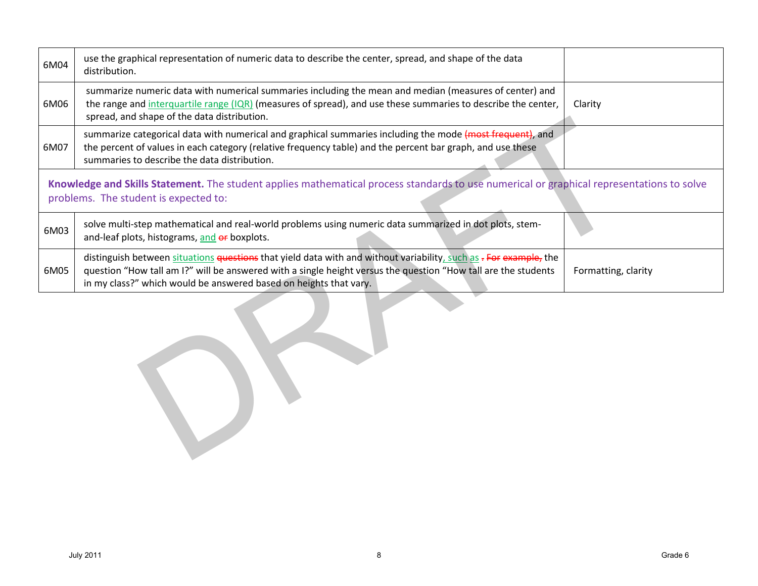| 6M04 | use the graphical representation of numeric data to describe the center, spread, and shape of the data<br>distribution.                                                                                                                                                                                  |                     |
|------|----------------------------------------------------------------------------------------------------------------------------------------------------------------------------------------------------------------------------------------------------------------------------------------------------------|---------------------|
| 6M06 | summarize numeric data with numerical summaries including the mean and median (measures of center) and<br>the range and interquartile range (IQR) (measures of spread), and use these summaries to describe the center,<br>spread, and shape of the data distribution.                                   | Clarity             |
| 6M07 | summarize categorical data with numerical and graphical summaries including the mode (most frequent), and<br>the percent of values in each category (relative frequency table) and the percent bar graph, and use these<br>summaries to describe the data distribution.                                  |                     |
|      | Knowledge and Skills Statement. The student applies mathematical process standards to use numerical or graphical representations to solve<br>problems. The student is expected to:                                                                                                                       |                     |
| 6M03 | solve multi-step mathematical and real-world problems using numeric data summarized in dot plots, stem-<br>and-leaf plots, histograms, and or boxplots.                                                                                                                                                  |                     |
| 6M05 | distinguish between situations questions that yield data with and without variability, such as - For example, the<br>question "How tall am I?" will be answered with a single height versus the question "How tall are the students<br>in my class?" which would be answered based on heights that vary. | Formatting, clarity |
|      |                                                                                                                                                                                                                                                                                                          |                     |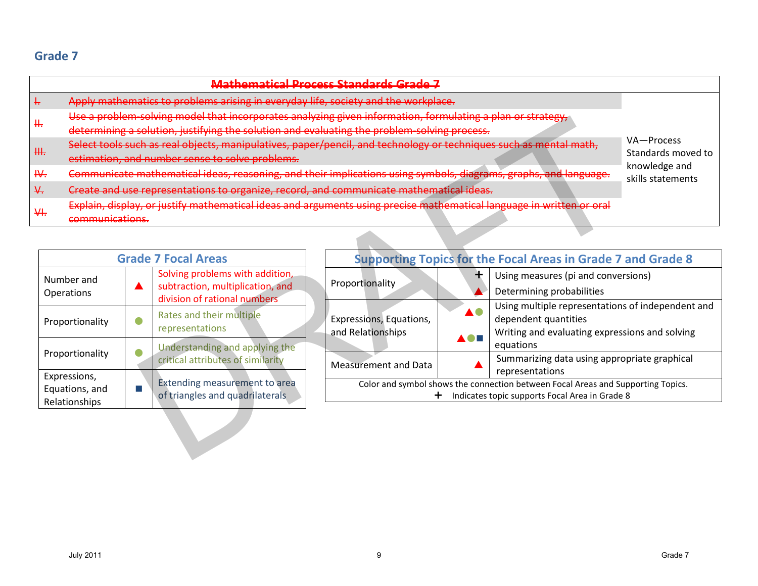|                                                                                                                                                                                                                                                                                                                                                                                                                                                                                                                                                                                                                                                                                                                                                                                                                                                    | <del>Mathematical Process Standards Grade 7</del>                                                                                                                                                              |  |                                                                     |                                                                                                                                         |                                                                        |                                                                                                                             |                                                                              |  |
|----------------------------------------------------------------------------------------------------------------------------------------------------------------------------------------------------------------------------------------------------------------------------------------------------------------------------------------------------------------------------------------------------------------------------------------------------------------------------------------------------------------------------------------------------------------------------------------------------------------------------------------------------------------------------------------------------------------------------------------------------------------------------------------------------------------------------------------------------|----------------------------------------------------------------------------------------------------------------------------------------------------------------------------------------------------------------|--|---------------------------------------------------------------------|-----------------------------------------------------------------------------------------------------------------------------------------|------------------------------------------------------------------------|-----------------------------------------------------------------------------------------------------------------------------|------------------------------------------------------------------------------|--|
| Apply mathematics to problems arising in everyday life, society and the workplace.<br>÷.<br>Use a problem solving model that incorporates analyzing given information, formulating a plan or strategy,<br>₩.<br>determining a solution, justifying the solution and evaluating the problem solving process.<br>Select tools such as real objects, manipulatives, paper/pencil, and technology or techniques such as mental math,<br>₩.<br>estimation, and number sense to solve problems.<br>Communicate mathematical ideas, reasoning, and their implications using symbols, diagrams, graphs, and language.<br>₩.<br>Create and use representations to organize, record, and communicate mathematical ideas.<br>₩.<br>Explain, display, or justify mathematical ideas and arguments using precise mathematical language in written or oral<br>₩. |                                                                                                                                                                                                                |  |                                                                     |                                                                                                                                         | VA-Process<br>Standards moved to<br>knowledge and<br>skills statements |                                                                                                                             |                                                                              |  |
|                                                                                                                                                                                                                                                                                                                                                                                                                                                                                                                                                                                                                                                                                                                                                                                                                                                    | communications.                                                                                                                                                                                                |  |                                                                     |                                                                                                                                         |                                                                        |                                                                                                                             |                                                                              |  |
|                                                                                                                                                                                                                                                                                                                                                                                                                                                                                                                                                                                                                                                                                                                                                                                                                                                    |                                                                                                                                                                                                                |  | <b>Grade 7 Focal Areas</b>                                          |                                                                                                                                         |                                                                        |                                                                                                                             | <b>Supporting Topics for the Focal Areas in Grade 7 and Grade 8</b>          |  |
|                                                                                                                                                                                                                                                                                                                                                                                                                                                                                                                                                                                                                                                                                                                                                                                                                                                    | Solving problems with addition,<br>Number and<br>subtraction, multiplication, and<br>Operations<br>division of rational numbers<br>Rates and their multiple<br>$\bullet$<br>Proportionality<br>representations |  |                                                                     | Proportionality                                                                                                                         |                                                                        | Using measures (pi and conversions)<br>Determining probabilities                                                            |                                                                              |  |
|                                                                                                                                                                                                                                                                                                                                                                                                                                                                                                                                                                                                                                                                                                                                                                                                                                                    |                                                                                                                                                                                                                |  |                                                                     | Expressions, Equations,<br>and Relationships                                                                                            | $\blacktriangle$ 0 $\blacksquare$                                      | Using multiple representations of independent and<br>dependent quantities<br>Writing and evaluating expressions and solving |                                                                              |  |
|                                                                                                                                                                                                                                                                                                                                                                                                                                                                                                                                                                                                                                                                                                                                                                                                                                                    | Proportionality                                                                                                                                                                                                |  | Understanding and applying the<br>critical attributes of similarity |                                                                                                                                         | <b>Measurement and Data</b>                                            |                                                                                                                             | equations<br>Summarizing data using appropriate graphical<br>representations |  |
|                                                                                                                                                                                                                                                                                                                                                                                                                                                                                                                                                                                                                                                                                                                                                                                                                                                    | Expressions,<br>Equations, and<br>Relationships                                                                                                                                                                |  | Extending measurement to area<br>of triangles and quadrilaterals    | Color and symbol shows the connection between Focal Areas and Supporting Topics.<br>Indicates topic supports Focal Area in Grade 8<br>÷ |                                                                        |                                                                                                                             |                                                                              |  |
|                                                                                                                                                                                                                                                                                                                                                                                                                                                                                                                                                                                                                                                                                                                                                                                                                                                    |                                                                                                                                                                                                                |  |                                                                     |                                                                                                                                         |                                                                        |                                                                                                                             |                                                                              |  |

|                                                 | <b>Grade 7 Focal Areas</b> |                                                                                                     |  |
|-------------------------------------------------|----------------------------|-----------------------------------------------------------------------------------------------------|--|
| Number and<br>Operations                        |                            | Solving problems with addition,<br>subtraction, multiplication, and<br>division of rational numbers |  |
| Proportionality                                 |                            | Rates and their multiple<br>representations                                                         |  |
| Proportionality                                 |                            | Understanding and applying the<br>critical attributes of similarity                                 |  |
| Expressions,<br>Equations, and<br>Relationships |                            | <b>Extending measurement to area</b><br>of triangles and quadrilaterals                             |  |

| <b>Supporting Topics for the Focal Areas in Grade 7 and Grade 8</b>              |    |                                                                           |  |  |
|----------------------------------------------------------------------------------|----|---------------------------------------------------------------------------|--|--|
| Proportionality                                                                  |    | Using measures (pi and conversions)                                       |  |  |
|                                                                                  |    | Determining probabilities                                                 |  |  |
| Expressions, Equations,                                                          | AC | Using multiple representations of independent and<br>dependent quantities |  |  |
| and Relationships                                                                |    | Writing and evaluating expressions and solving<br>equations               |  |  |
| <b>Measurement and Data</b>                                                      |    | Summarizing data using appropriate graphical<br>representations           |  |  |
| Color and symbol shows the connection between Focal Areas and Supporting Topics. |    |                                                                           |  |  |
| Indicates topic supports Focal Area in Grade 8                                   |    |                                                                           |  |  |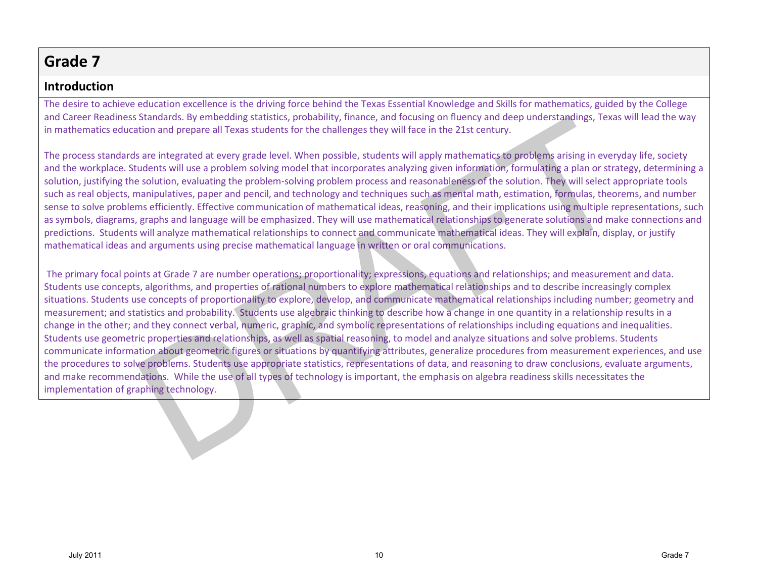### **Introduction**

The desire to achieve education excellence is the driving force behind the Texas Essential Knowledge and Skills for mathematics, guided by the College and Career Readiness Standards. By embedding statistics, probability, finance, and focusing on fluency and deep understandings, Texas will lead the way in mathematics education and prepare all Texas students for the challenges they will face in the 21st century.

The process standards are integrated at every grade level. When possible, students will apply mathematics to problems arising in everyday life, society and the workplace. Students will use a problem solving model that incorporates analyzing given information, formulating a plan or strategy, determining a solution, justifying the solution, evaluating the problem-solving problem process and reasonableness of the solution. They will select appropriate tools such as real objects, manipulatives, paper and pencil, and technology and techniques such as mental math, estimation, formulas, theorems, and number sense to solve problems efficiently. Effective communication of mathematical ideas, reasoning, and their implications using multiple representations, such as symbols, diagrams, graphs and language will be emphasized. They will use mathematical relationships to generate solutions and make connections and predictions. Students will analyze mathematical relationships to connect and communicate mathematical ideas. They will explain, display, or justify mathematical ideas and arguments using precise mathematical language in written or oral communications.

The primary focal points at Grade 7 are number operations; proportionality; expressions, equations and relationships; and measurement and data. Students use concepts, algorithms, and properties of rational numbers to explore mathematical relationships and to describe increasingly complex situations. Students use concepts of proportionality to explore, develop, and communicate mathematical relationships including number; geometry and measurement; and statistics and probability. Students use algebraic thinking to describe how a change in one quantity in a relationship results in a change in the other; and they connect verbal, numeric, graphic, and symbolic representations of relationships including equations and inequalities. Students use geometric properties and relationships, as well as spatial reasoning, to model and analyze situations and solve problems. Students communicate information about geometric figures or situations by quantifying attributes, generalize procedures from measurement experiences, and use the procedures to solve problems. Students use appropriate statistics, representations of data, and reasoning to draw conclusions, evaluate arguments, and make recommendations. While the use of all types of technology is important, the emphasis on algebra readiness skills necessitates the implementation of graphing technology. standars. By emnocing statstics, proadbiling, mance, and rocking on fluency and easy method and prepare all Texas students for the challenges they will face in the 21st century.<br>Save integrated at every grade level. When p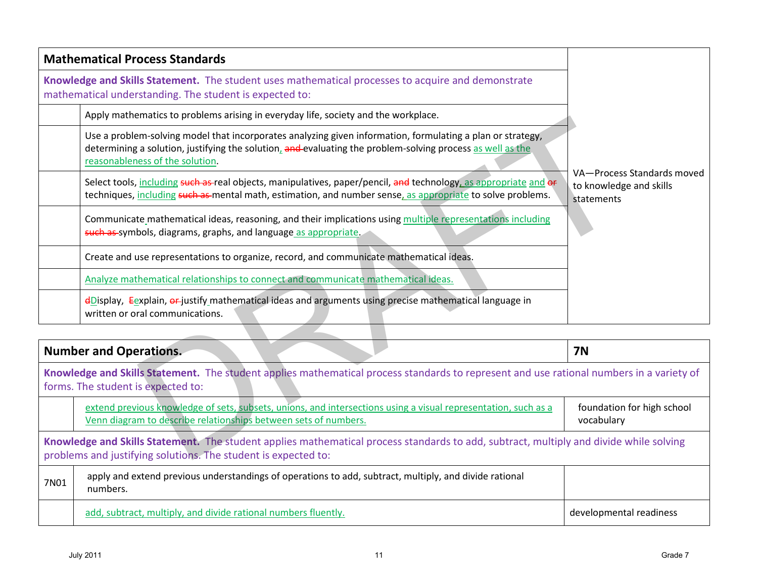| <b>Mathematical Process Standards</b>                                                                                                                                                                                                                       |                                                                     |
|-------------------------------------------------------------------------------------------------------------------------------------------------------------------------------------------------------------------------------------------------------------|---------------------------------------------------------------------|
| Knowledge and Skills Statement. The student uses mathematical processes to acquire and demonstrate<br>mathematical understanding. The student is expected to:                                                                                               |                                                                     |
| Apply mathematics to problems arising in everyday life, society and the workplace.                                                                                                                                                                          |                                                                     |
| Use a problem-solving model that incorporates analyzing given information, formulating a plan or strategy,<br>determining a solution, justifying the solution, and evaluating the problem-solving process as well as the<br>reasonableness of the solution. |                                                                     |
| Select tools, including such as-real objects, manipulatives, paper/pencil, and technology, as appropriate and or<br>techniques, including such as mental math, estimation, and number sense, as appropriate to solve problems.                              | VA-Process Standards moved<br>to knowledge and skills<br>statements |
| Communicate mathematical ideas, reasoning, and their implications using multiple representations including<br>such as symbols, diagrams, graphs, and language as appropriate.                                                                               |                                                                     |
| Create and use representations to organize, record, and communicate mathematical ideas.                                                                                                                                                                     |                                                                     |
| Analyze mathematical relationships to connect and communicate mathematical ideas.                                                                                                                                                                           |                                                                     |
| dDisplay, Eexplain, or justify mathematical ideas and arguments using precise mathematical language in<br>written or oral communications.                                                                                                                   |                                                                     |
|                                                                                                                                                                                                                                                             |                                                                     |
| <b>Number and Operations.</b>                                                                                                                                                                                                                               | <b>7N</b>                                                           |
| Knowledge and Skills Statement. The student applies mathematical process standards to represent and use rational numbers in a variety of<br>forms. The student is expected to:                                                                              |                                                                     |
| extend previous knowledge of sets, subsets, unions, and intersections using a visual representation, such as a<br>Venn diagram to describe relationships between sets of numbers.                                                                           | foundation for high school<br>vocabulary                            |
| Knowledge and Skills Statement. The student applies mathematical process standards to add, subtract, multiply and divide while solving<br>problems and justifying solutions. The student is expected to:                                                    |                                                                     |

|                                                                                                                                                                                                          | <b>Number and Operations.</b>                                                                                                                                                     | <b>7N</b>                                |  |  |  |
|----------------------------------------------------------------------------------------------------------------------------------------------------------------------------------------------------------|-----------------------------------------------------------------------------------------------------------------------------------------------------------------------------------|------------------------------------------|--|--|--|
|                                                                                                                                                                                                          | Knowledge and Skills Statement. The student applies mathematical process standards to represent and use rational numbers in a variety of<br>forms. The student is expected to:    |                                          |  |  |  |
|                                                                                                                                                                                                          | extend previous knowledge of sets, subsets, unions, and intersections using a visual representation, such as a<br>Venn diagram to describe relationships between sets of numbers. | foundation for high school<br>vocabulary |  |  |  |
| Knowledge and Skills Statement. The student applies mathematical process standards to add, subtract, multiply and divide while solving<br>problems and justifying solutions. The student is expected to: |                                                                                                                                                                                   |                                          |  |  |  |
| 7N01                                                                                                                                                                                                     | apply and extend previous understandings of operations to add, subtract, multiply, and divide rational<br>numbers.                                                                |                                          |  |  |  |
|                                                                                                                                                                                                          | add, subtract, multiply, and divide rational numbers fluently.                                                                                                                    | developmental readiness                  |  |  |  |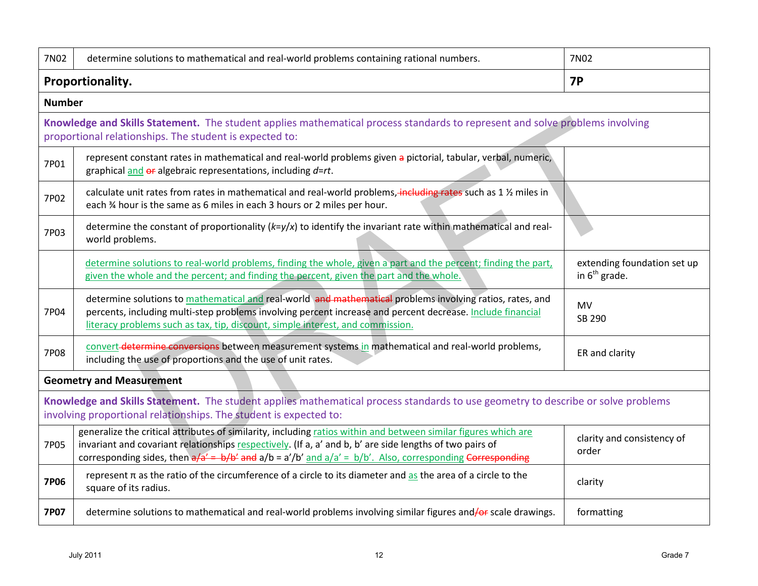| 7N02          | determine solutions to mathematical and real-world problems containing rational numbers.                                                                                                                                                                                                                                                       | 7N02                                              |  |  |  |
|---------------|------------------------------------------------------------------------------------------------------------------------------------------------------------------------------------------------------------------------------------------------------------------------------------------------------------------------------------------------|---------------------------------------------------|--|--|--|
|               | Proportionality.                                                                                                                                                                                                                                                                                                                               | <b>7P</b>                                         |  |  |  |
| <b>Number</b> |                                                                                                                                                                                                                                                                                                                                                |                                                   |  |  |  |
|               | Knowledge and Skills Statement. The student applies mathematical process standards to represent and solve problems involving<br>proportional relationships. The student is expected to:                                                                                                                                                        |                                                   |  |  |  |
| 7P01          | represent constant rates in mathematical and real-world problems given a pictorial, tabular, verbal, numeric,<br>graphical and $er$ algebraic representations, including d=rt.                                                                                                                                                                 |                                                   |  |  |  |
| 7P02          | calculate unit rates from rates in mathematical and real-world problems, including rates such as 1 % miles in<br>each % hour is the same as 6 miles in each 3 hours or 2 miles per hour.                                                                                                                                                       |                                                   |  |  |  |
| 7P03          | determine the constant of proportionality ( $k=y/x$ ) to identify the invariant rate within mathematical and real-<br>world problems.                                                                                                                                                                                                          |                                                   |  |  |  |
|               | determine solutions to real-world problems, finding the whole, given a part and the percent; finding the part,<br>given the whole and the percent; and finding the percent, given the part and the whole.                                                                                                                                      | extending foundation set up<br>in $6^{th}$ grade. |  |  |  |
| 7P04          | determine solutions to mathematical and real-world and mathematical problems involving ratios, rates, and<br>percents, including multi-step problems involving percent increase and percent decrease. Include financial<br>literacy problems such as tax, tip, discount, simple interest, and commission.                                      | <b>MV</b><br>SB 290                               |  |  |  |
| <b>7P08</b>   | convert-determine conversions between measurement systems in mathematical and real-world problems,<br>including the use of proportions and the use of unit rates.                                                                                                                                                                              | ER and clarity                                    |  |  |  |
|               | <b>Geometry and Measurement</b>                                                                                                                                                                                                                                                                                                                |                                                   |  |  |  |
|               | Knowledge and Skills Statement. The student applies mathematical process standards to use geometry to describe or solve problems<br>involving proportional relationships. The student is expected to:                                                                                                                                          |                                                   |  |  |  |
| <b>7P05</b>   | generalize the critical attributes of similarity, including ratios within and between similar figures which are<br>invariant and covariant relationships respectively. (If a, a' and b, b' are side lengths of two pairs of<br>corresponding sides, then $a/a' = b/b'$ and $a/b = a'/b'$ and $a/a' = b/b'$ . Also, corresponding Corresponding | clarity and consistency of<br>order               |  |  |  |
| <b>7P06</b>   | represent $\pi$ as the ratio of the circumference of a circle to its diameter and as the area of a circle to the<br>square of its radius.                                                                                                                                                                                                      | clarity                                           |  |  |  |
| <b>7P07</b>   | determine solutions to mathematical and real-world problems involving similar figures and/or scale drawings.                                                                                                                                                                                                                                   | formatting                                        |  |  |  |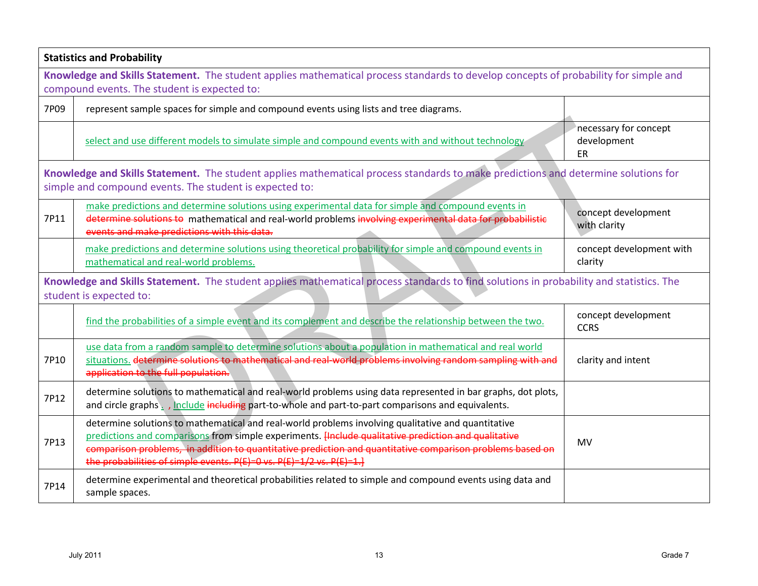|      | <b>Statistics and Probability</b>                                                                                                                                                                                                                                                                                                                                                                   |                                            |  |  |  |  |
|------|-----------------------------------------------------------------------------------------------------------------------------------------------------------------------------------------------------------------------------------------------------------------------------------------------------------------------------------------------------------------------------------------------------|--------------------------------------------|--|--|--|--|
|      | Knowledge and Skills Statement. The student applies mathematical process standards to develop concepts of probability for simple and<br>compound events. The student is expected to:                                                                                                                                                                                                                |                                            |  |  |  |  |
| 7P09 | represent sample spaces for simple and compound events using lists and tree diagrams.                                                                                                                                                                                                                                                                                                               |                                            |  |  |  |  |
|      | select and use different models to simulate simple and compound events with and without technology                                                                                                                                                                                                                                                                                                  | necessary for concept<br>development<br>ER |  |  |  |  |
|      | Knowledge and Skills Statement. The student applies mathematical process standards to make predictions and determine solutions for<br>simple and compound events. The student is expected to:                                                                                                                                                                                                       |                                            |  |  |  |  |
| 7P11 | make predictions and determine solutions using experimental data for simple and compound events in<br>determine solutions to mathematical and real-world problems involving experimental data for probabilistic<br>events and make predictions with this data.                                                                                                                                      | concept development<br>with clarity        |  |  |  |  |
|      | make predictions and determine solutions using theoretical probability for simple and compound events in<br>mathematical and real-world problems.                                                                                                                                                                                                                                                   | concept development with<br>clarity        |  |  |  |  |
|      | Knowledge and Skills Statement. The student applies mathematical process standards to find solutions in probability and statistics. The<br>student is expected to:                                                                                                                                                                                                                                  |                                            |  |  |  |  |
|      | find the probabilities of a simple event and its complement and describe the relationship between the two.                                                                                                                                                                                                                                                                                          | concept development<br><b>CCRS</b>         |  |  |  |  |
| 7P10 | use data from a random sample to determine solutions about a population in mathematical and real world<br>situations. determine solutions to mathematical and real-world problems involving random sampling with and<br>application to the full population.                                                                                                                                         | clarity and intent                         |  |  |  |  |
| 7P12 | determine solutions to mathematical and real-world problems using data represented in bar graphs, dot plots,<br>and circle graphs . , Include including part-to-whole and part-to-part comparisons and equivalents.                                                                                                                                                                                 |                                            |  |  |  |  |
| 7P13 | determine solutions to mathematical and real-world problems involving qualitative and quantitative<br>predictions and comparisons from simple experiments. Hnclude qualitative prediction and qualitative<br>comparison problems, in addition to quantitative prediction and quantitative comparison problems based on<br>the probabilities of simple events. $P(E)=0$ vs. $P(E)=1/2$ vs. $P(E)=1.$ | MV                                         |  |  |  |  |
| 7P14 | determine experimental and theoretical probabilities related to simple and compound events using data and<br>sample spaces.                                                                                                                                                                                                                                                                         |                                            |  |  |  |  |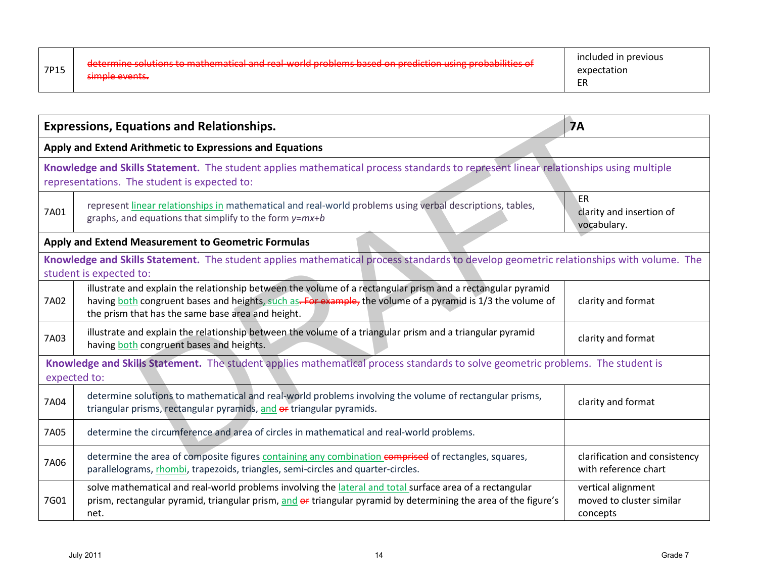| 7P15 | dotarmine colutions to mathematical and real world problems based on prodiction using probabilities of<br>aetermine solutions to matricmatical and real world problems based on prediction using probabilities or<br>simple events. | included in previous<br>expectation<br>r,<br>- 1 |
|------|-------------------------------------------------------------------------------------------------------------------------------------------------------------------------------------------------------------------------------------|--------------------------------------------------|
|------|-------------------------------------------------------------------------------------------------------------------------------------------------------------------------------------------------------------------------------------|--------------------------------------------------|

|      | <b>Expressions, Equations and Relationships.</b><br><b>7A</b>                                                                                                                                                                                                                  |                                                            |  |  |  |
|------|--------------------------------------------------------------------------------------------------------------------------------------------------------------------------------------------------------------------------------------------------------------------------------|------------------------------------------------------------|--|--|--|
|      | Apply and Extend Arithmetic to Expressions and Equations                                                                                                                                                                                                                       |                                                            |  |  |  |
|      | Knowledge and Skills Statement. The student applies mathematical process standards to represent linear relationships using multiple<br>representations. The student is expected to:                                                                                            |                                                            |  |  |  |
| 7A01 | represent linear relationships in mathematical and real-world problems using verbal descriptions, tables,<br>graphs, and equations that simplify to the form y=mx+b                                                                                                            | ER<br>clarity and insertion of<br>vocabulary.              |  |  |  |
|      | Apply and Extend Measurement to Geometric Formulas                                                                                                                                                                                                                             |                                                            |  |  |  |
|      | Knowledge and Skills Statement. The student applies mathematical process standards to develop geometric relationships with volume. The<br>student is expected to:                                                                                                              |                                                            |  |  |  |
| 7A02 | illustrate and explain the relationship between the volume of a rectangular prism and a rectangular pyramid<br>having both congruent bases and heights, such as-For example, the volume of a pyramid is 1/3 the volume of<br>the prism that has the same base area and height. | clarity and format                                         |  |  |  |
| 7A03 | illustrate and explain the relationship between the volume of a triangular prism and a triangular pyramid<br>having both congruent bases and heights.                                                                                                                          | clarity and format                                         |  |  |  |
|      | Knowledge and Skills Statement. The student applies mathematical process standards to solve geometric problems. The student is<br>expected to:                                                                                                                                 |                                                            |  |  |  |
| 7A04 | determine solutions to mathematical and real-world problems involving the volume of rectangular prisms,<br>triangular prisms, rectangular pyramids, and or triangular pyramids.                                                                                                | clarity and format                                         |  |  |  |
| 7A05 | determine the circumference and area of circles in mathematical and real-world problems.                                                                                                                                                                                       |                                                            |  |  |  |
| 7A06 | determine the area of composite figures containing any combination comprised of rectangles, squares,<br>parallelograms, rhombi, trapezoids, triangles, semi-circles and quarter-circles.                                                                                       | clarification and consistency<br>with reference chart      |  |  |  |
| 7G01 | solve mathematical and real-world problems involving the <i>lateral and total surface area of a rectangular</i><br>prism, rectangular pyramid, triangular prism, and or triangular pyramid by determining the area of the figure's<br>net.                                     | vertical alignment<br>moved to cluster similar<br>concepts |  |  |  |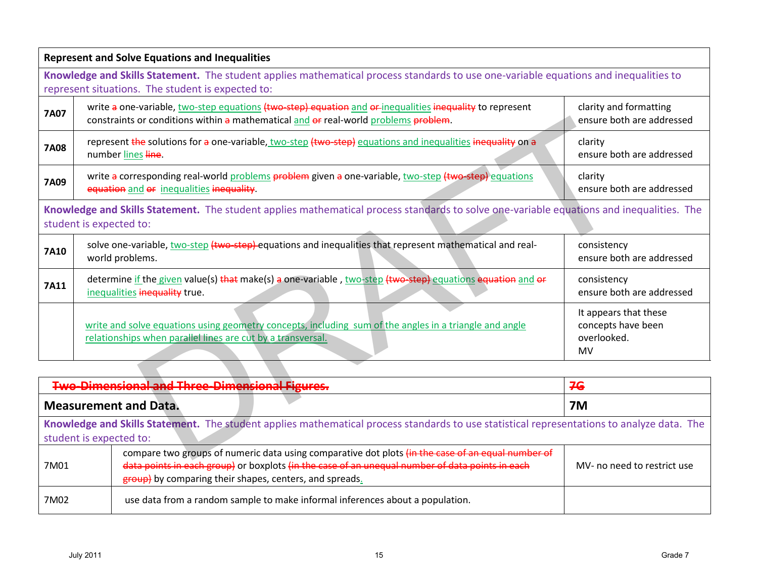|             | <b>Represent and Solve Equations and Inequalities</b>                                                                                                                                           |                                                                         |  |  |  |
|-------------|-------------------------------------------------------------------------------------------------------------------------------------------------------------------------------------------------|-------------------------------------------------------------------------|--|--|--|
|             | Knowledge and Skills Statement. The student applies mathematical process standards to use one-variable equations and inequalities to<br>represent situations. The student is expected to:       |                                                                         |  |  |  |
| <b>7A07</b> | write a one-variable, two-step equations (two-step) equation and or-inequalities inequality to represent<br>constraints or conditions within a mathematical and or real-world problems problem. | clarity and formatting<br>ensure both are addressed                     |  |  |  |
| <b>7A08</b> | represent the solutions for a one-variable, two-step (two-step) equations and inequalities inequality on a<br>number lines line.                                                                | clarity<br>ensure both are addressed                                    |  |  |  |
| 7A09        | write a corresponding real-world problems problem given a one-variable, two-step (two-step) equations<br>equation and or inequalities inequality.                                               | clarity<br>ensure both are addressed                                    |  |  |  |
|             | Knowledge and Skills Statement. The student applies mathematical process standards to solve one-variable equations and inequalities. The<br>student is expected to:                             |                                                                         |  |  |  |
| <b>7A10</b> | solve one-variable, two-step (two-step) equations and inequalities that represent mathematical and real-<br>world problems.                                                                     | consistency<br>ensure both are addressed                                |  |  |  |
| 7A11        | determine if the given value(s) that make(s) a one-variable, two-step (two-step) equations equation and or<br>inequalities inequality true.                                                     | consistency<br>ensure both are addressed                                |  |  |  |
|             | write and solve equations using geometry concepts, including sum of the angles in a triangle and angle<br>relationships when parallel lines are cut by a transversal.                           | It appears that these<br>concepts have been<br>overlooked.<br><b>MV</b> |  |  |  |
|             |                                                                                                                                                                                                 |                                                                         |  |  |  |
|             | <b>Two-Dimensional and Three-Dimensional Figures.</b>                                                                                                                                           | 76                                                                      |  |  |  |
|             | <b>Measurement and Data.</b>                                                                                                                                                                    | <b>7M</b>                                                               |  |  |  |
|             | Knowledge and Skills Statement. The student applies mathematical process standards to use statistical representations to analyze data. The<br>student is expected to:                           |                                                                         |  |  |  |
|             | compare two groups of numeric data using comparative dot plots (in the case of an equal number of                                                                                               |                                                                         |  |  |  |

| <b>Two-Dimensional and Three-Dimensional Figures.</b>                                                                                      |                                                                                                                                                                                                                                                                 | 76                          |  |
|--------------------------------------------------------------------------------------------------------------------------------------------|-----------------------------------------------------------------------------------------------------------------------------------------------------------------------------------------------------------------------------------------------------------------|-----------------------------|--|
|                                                                                                                                            | <b>Measurement and Data.</b>                                                                                                                                                                                                                                    | <b>7M</b>                   |  |
| Knowledge and Skills Statement. The student applies mathematical process standards to use statistical representations to analyze data. The |                                                                                                                                                                                                                                                                 |                             |  |
| student is expected to:                                                                                                                    |                                                                                                                                                                                                                                                                 |                             |  |
| 7M01                                                                                                                                       | compare two groups of numeric data using comparative dot plots (in the case of an equal number of<br>data points in each group) or boxplots (in the case of an unequal number of data points in each<br>group) by comparing their shapes, centers, and spreads. | MV- no need to restrict use |  |
| 7M02                                                                                                                                       | use data from a random sample to make informal inferences about a population.                                                                                                                                                                                   |                             |  |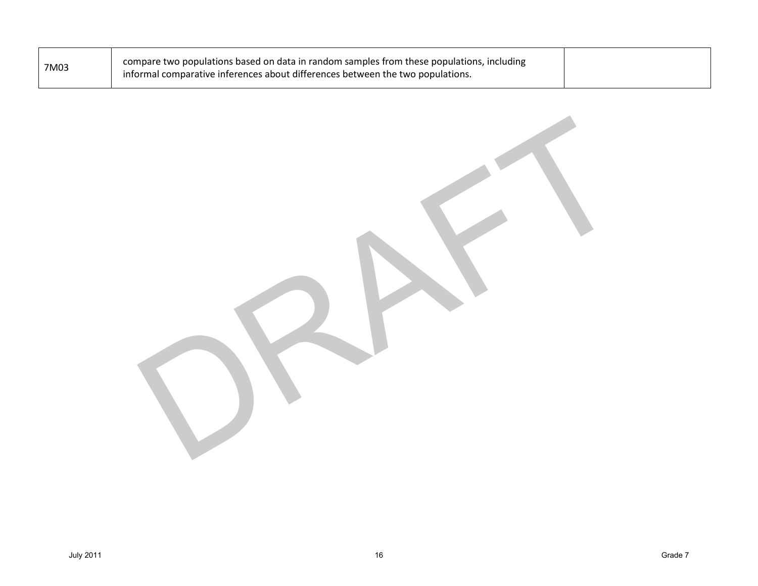| 7M03 | compare two populations based on data in random samples from these populations, including<br>informal comparative inferences about differences between the two populations. |  |
|------|-----------------------------------------------------------------------------------------------------------------------------------------------------------------------------|--|
|      |                                                                                                                                                                             |  |

ORAFT 1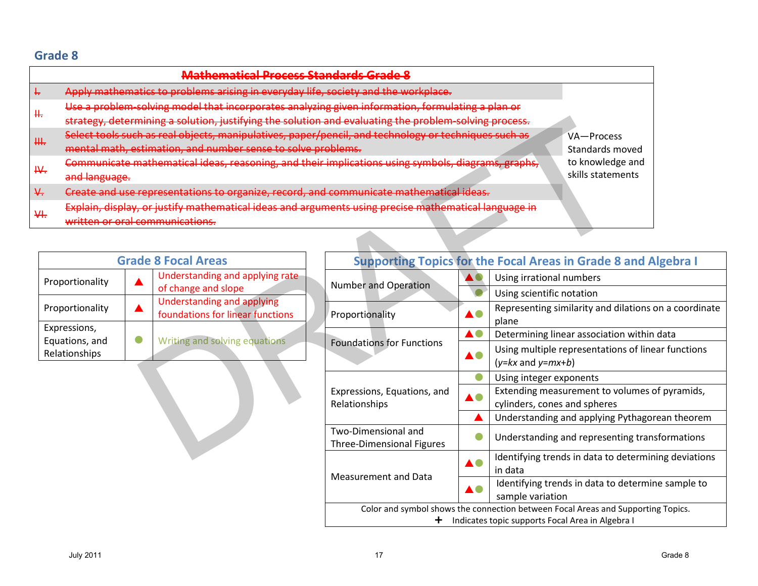|              | Mathematical Process Standards Grade 8                                                                |                               |
|--------------|-------------------------------------------------------------------------------------------------------|-------------------------------|
|              | Apply mathematics to problems arising in everyday life, society and the workplace.                    |                               |
| ╫            | Use a problem solving model that incorporates analyzing given information, formulating a plan or      | VA-Process<br>Standards moved |
|              | strategy, determining a solution, justifying the solution and evaluating the problem solving process. |                               |
| ₩.           | Select tools such as real objects, manipulatives, paper/pencil, and technology or techniques such as  |                               |
|              | mental math, estimation, and number sense to solve problems.                                          |                               |
| $\mathsf{H}$ | Communicate mathematical ideas, reasoning, and their implications using symbols, diagrams, graphs,    | to knowledge and              |
|              | and language.                                                                                         | skills statements             |
| ₩            | Create and use representations to organize, record, and communicate mathematical ideas.               |                               |
| ₩.           | Explain, display, or justify mathematical ideas and arguments using precise mathematical language in  |                               |
|              | written or oral communications.                                                                       |                               |

| <b>Grade 8 Focal Areas</b>                      |  |                                                                       |  |
|-------------------------------------------------|--|-----------------------------------------------------------------------|--|
| Proportionality                                 |  | Understanding and applying rate<br>of change and slope                |  |
| Proportionality                                 |  | <b>Understanding and applying</b><br>foundations for linear functions |  |
| Expressions,<br>Equations, and<br>Relationships |  | Writing and solving equations                                         |  |

| nining a solution, justifying the solution and evaluating the problem solving process. |                                                                                        |                    |                                                                                                                                      |  |
|----------------------------------------------------------------------------------------|----------------------------------------------------------------------------------------|--------------------|--------------------------------------------------------------------------------------------------------------------------------------|--|
| h as real objects, manipulatives, paper/pencil, and technology or techniques such as   | VA-Process                                                                             |                    |                                                                                                                                      |  |
| stimation, and number sense to solve problems.                                         | Standards moved                                                                        |                    |                                                                                                                                      |  |
|                                                                                        | nathematical ideas, reasoning, and their implications using symbols, diagrams, graphs, |                    |                                                                                                                                      |  |
| representations to organize, record, and communicate mathematical ideas.               |                                                                                        |                    |                                                                                                                                      |  |
| or justify mathematical ideas and arguments using precise mathematical language in     |                                                                                        |                    |                                                                                                                                      |  |
| <del>:ommunications.</del>                                                             |                                                                                        |                    |                                                                                                                                      |  |
|                                                                                        |                                                                                        |                    |                                                                                                                                      |  |
| de 8 Focal Areas                                                                       |                                                                                        |                    | <b>Supporting Topics for the Focal Areas in Grade 8 and Algebra I</b>                                                                |  |
| Understanding and applying rate                                                        |                                                                                        |                    | Using irrational numbers                                                                                                             |  |
| of change and slope                                                                    | <b>Number and Operation</b>                                                            |                    | Using scientific notation                                                                                                            |  |
| Understanding and applying<br>foundations for linear functions                         | Proportionality                                                                        |                    | Representing similarity and dilations on a coordinate                                                                                |  |
|                                                                                        |                                                                                        |                    | plane                                                                                                                                |  |
| Writing and solving equations                                                          |                                                                                        | $\blacktriangle$ 0 | Determining linear association within data                                                                                           |  |
|                                                                                        | <b>Foundations for Functions</b>                                                       |                    | Using multiple representations of linear functions<br>$(y= kx$ and $y=mx+b)$                                                         |  |
|                                                                                        |                                                                                        |                    | Using integer exponents                                                                                                              |  |
|                                                                                        | Expressions, Equations, and<br>Relationships                                           |                    | Extending measurement to volumes of pyramids,<br>cylinders, cones and spheres                                                        |  |
|                                                                                        |                                                                                        |                    | Understanding and applying Pythagorean theorem                                                                                       |  |
|                                                                                        | Two-Dimensional and<br><b>Three-Dimensional Figures</b>                                |                    | Understanding and representing transformations                                                                                       |  |
|                                                                                        |                                                                                        |                    | Identifying trends in data to determining deviations                                                                                 |  |
|                                                                                        | <b>Measurement and Data</b>                                                            |                    | in data                                                                                                                              |  |
|                                                                                        |                                                                                        |                    | Identifying trends in data to determine sample to                                                                                    |  |
|                                                                                        |                                                                                        |                    | sample variation                                                                                                                     |  |
|                                                                                        | t.                                                                                     |                    | Color and symbol shows the connection between Focal Areas and Supporting Topics.<br>Indicates topic supports Focal Area in Algebra I |  |
|                                                                                        |                                                                                        |                    |                                                                                                                                      |  |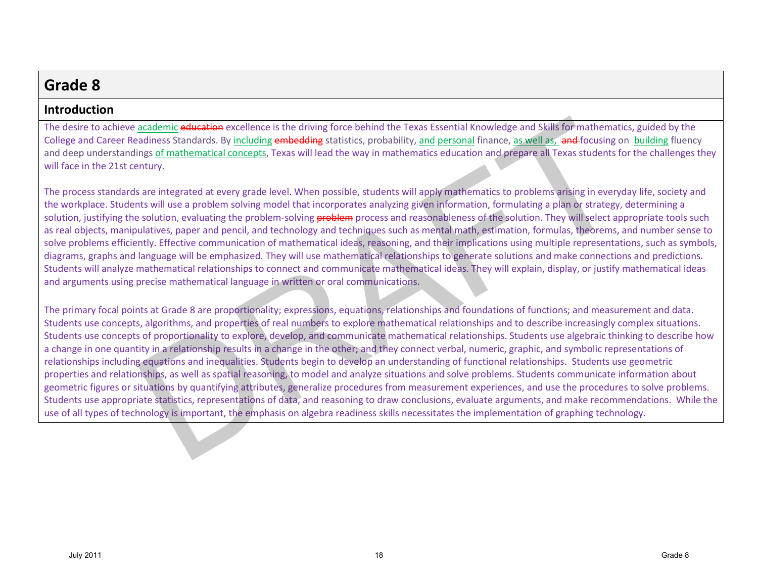## **Introduction**

The desire to achieve academic education excellence is the driving force behind the Texas Essential Knowledge and Skills for mathematics, guided by the College and Career Readiness Standards. By including embedding statistics, probability, and personal finance, as well as, and-focusing on building fluency and deep understandings of mathematical concepts, Texas will lead the way in mathematics education and prepare all Texas students for the challenges they will face in the 21st century.

The process standards are integrated at every grade level. When possible, students will apply mathematics to problems arising in everyday life, society and the workplace. Students will use a problem solving model that incorporates analyzing given information, formulating a plan or strategy, determining a solution, justifying the solution, evaluating the problem-solving **problem** process and reasonableness of the solution. They will select appropriate tools such as real objects, manipulatives, paper and pencil, and technology and techniques such as mental math, estimation, formulas, theorems, and number sense to solve problems efficiently. Effective communication of mathematical ideas, reasoning, and their implications using multiple representations, such as symbols, diagrams, graphs and language will be emphasized. They will use mathematical relationships to generate solutions and make connections and predictions. Students will analyze mathematical relationships to connect and communicate mathematical ideas. They will explain, display, or justify mathematical ideas and arguments using precise mathematical language in written or oral communications.

The primary focal points at Grade 8 are proportionality; expressions, equations, relationships and foundations of functions; and measurement and data. Students use concepts, algorithms, and properties of real numbers to explore mathematical relationships and to describe increasingly complex situations. Students use concepts of proportionality to explore, develop, and communicate mathematical relationships. Students use algebraic thinking to describe how a change in one quantity in a relationship results in a change in the other; and they connect verbal, numeric, graphic, and symbolic representations of relationships including equations and inequalities. Students begin to develop an understanding of functional relationships. Students use geometric properties and relationships, as well as spatial reasoning, to model and analyze situations and solve problems. Students communicate information about geometric figures or situations by quantifying attributes, generalize procedures from measurement experiences, and use the procedures to solve problems. Students use appropriate statistics, representations of data, and reasoning to draw conclusions, evaluate arguments, and make recommendations. While the use of all types of technology is important, the emphasis on algebra readiness skills necessitates the implementation of graphing technology. academic education excellence is the driving force behind the Texas Essential Knowledge and Skills for mathematical<br>angles of mathematical concepts, Texas will lead the way in mathematics education and prepare all Texas st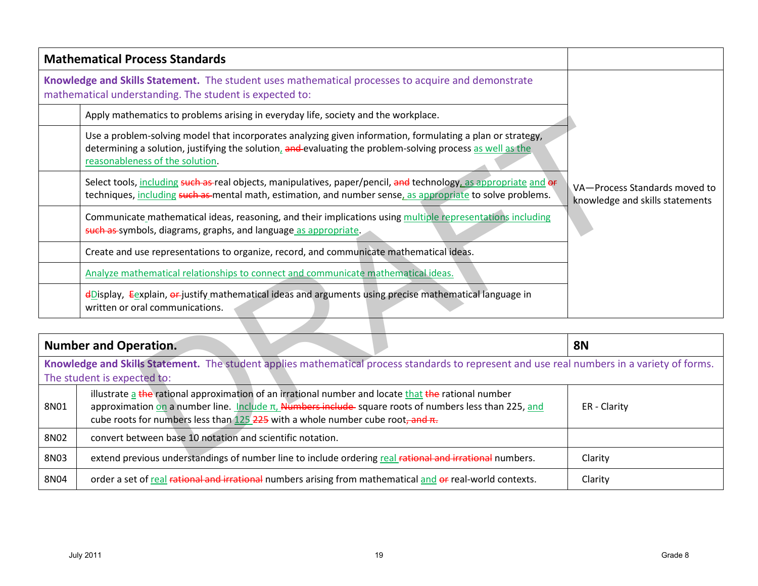|             | <b>Mathematical Process Standards</b>                                                                                                                                                                                                                                                                    |                                                                  |
|-------------|----------------------------------------------------------------------------------------------------------------------------------------------------------------------------------------------------------------------------------------------------------------------------------------------------------|------------------------------------------------------------------|
|             | Knowledge and Skills Statement. The student uses mathematical processes to acquire and demonstrate<br>mathematical understanding. The student is expected to:                                                                                                                                            |                                                                  |
|             | Apply mathematics to problems arising in everyday life, society and the workplace.                                                                                                                                                                                                                       |                                                                  |
|             | Use a problem-solving model that incorporates analyzing given information, formulating a plan or strategy,<br>determining a solution, justifying the solution, and evaluating the problem-solving process as well as the<br>reasonableness of the solution.                                              |                                                                  |
|             | Select tools, including such as-real objects, manipulatives, paper/pencil, and technology, as appropriate and or<br>techniques, including such as mental math, estimation, and number sense, as appropriate to solve problems.                                                                           | VA-Process Standards moved to<br>knowledge and skills statements |
|             | Communicate mathematical ideas, reasoning, and their implications using multiple representations including<br>such as symbols, diagrams, graphs, and language as appropriate.                                                                                                                            |                                                                  |
|             | Create and use representations to organize, record, and communicate mathematical ideas.                                                                                                                                                                                                                  |                                                                  |
|             | Analyze mathematical relationships to connect and communicate mathematical ideas.                                                                                                                                                                                                                        |                                                                  |
|             | $\triangle$ Display, Eexplain, $\triangle$ -justify mathematical ideas and arguments using precise mathematical language in<br>written or oral communications.                                                                                                                                           |                                                                  |
|             |                                                                                                                                                                                                                                                                                                          |                                                                  |
|             | <b>Number and Operation.</b>                                                                                                                                                                                                                                                                             | <b>8N</b>                                                        |
|             | Knowledge and Skills Statement. The student applies mathematical process standards to represent and use real numbers in a variety of forms.<br>The student is expected to:                                                                                                                               |                                                                  |
| 8N01        | illustrate a the rational approximation of an irrational number and locate that the rational number<br>approximation on a number line. Include $\pi$ , Numbers include-square roots of numbers less than 225, and<br>cube roots for numbers less than 125 225 with a whole number cube root, and $\pi$ . | ER - Clarity                                                     |
| 8N02        | convert between base 10 notation and scientific notation.                                                                                                                                                                                                                                                |                                                                  |
| <b>8N03</b> | extend previous understandings of number line to include ordering real rational and irrational numbers.                                                                                                                                                                                                  | Clarity                                                          |

|                                                                                                                                                                            | <b>Number and Operation.</b>                                                                                                                                                                                                                                                                                            | <b>8N</b>    |  |
|----------------------------------------------------------------------------------------------------------------------------------------------------------------------------|-------------------------------------------------------------------------------------------------------------------------------------------------------------------------------------------------------------------------------------------------------------------------------------------------------------------------|--------------|--|
| Knowledge and Skills Statement. The student applies mathematical process standards to represent and use real numbers in a variety of forms.<br>The student is expected to: |                                                                                                                                                                                                                                                                                                                         |              |  |
| 8N01                                                                                                                                                                       | illustrate a the rational approximation of an irrational number and locate that the rational number<br>approximation on a number line. Include $\pi$ , Numbers include-square roots of numbers less than 225, and<br>cube roots for numbers less than $125$ $\overline{225}$ with a whole number cube root, and $\pi$ . | ER - Clarity |  |
| 8N02                                                                                                                                                                       | convert between base 10 notation and scientific notation.                                                                                                                                                                                                                                                               |              |  |
| 8N03                                                                                                                                                                       | extend previous understandings of number line to include ordering real rational and irrational numbers.                                                                                                                                                                                                                 | Clarity      |  |
| 8N04                                                                                                                                                                       | order a set of real rational and irrational numbers arising from mathematical and or real-world contexts.                                                                                                                                                                                                               | Clarity      |  |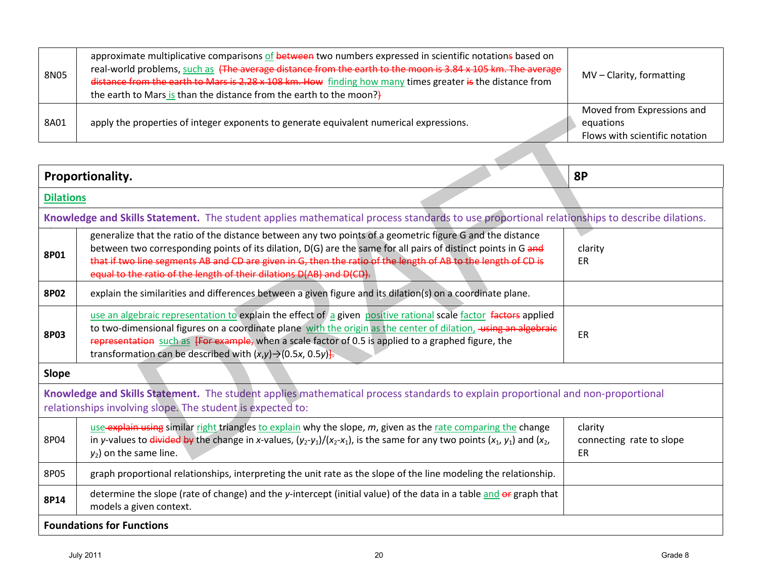| 8N05 | approximate multiplicative comparisons of between two numbers expressed in scientific notations based on<br>real-world problems, such as (The average distance from the earth to the moon is 3.84 x 105 km. The average<br>distance from the earth to Mars is 2.28 x 108 km. How finding how many times greater is the distance from<br>the earth to Mars is than the distance from the earth to the moon?} | MV - Clarity, formatting                                                  |
|------|-------------------------------------------------------------------------------------------------------------------------------------------------------------------------------------------------------------------------------------------------------------------------------------------------------------------------------------------------------------------------------------------------------------|---------------------------------------------------------------------------|
| 8A01 | apply the properties of integer exponents to generate equivalent numerical expressions.                                                                                                                                                                                                                                                                                                                     | Moved from Expressions and<br>equations<br>Flows with scientific notation |

| 8A01             | apply the properties of integer exponents to generate equivalent numerical expressions.                                                                                                                                                                                                                                                                                                                             | equations                                 |
|------------------|---------------------------------------------------------------------------------------------------------------------------------------------------------------------------------------------------------------------------------------------------------------------------------------------------------------------------------------------------------------------------------------------------------------------|-------------------------------------------|
|                  |                                                                                                                                                                                                                                                                                                                                                                                                                     | Flows with scientific notation            |
|                  |                                                                                                                                                                                                                                                                                                                                                                                                                     |                                           |
|                  | Proportionality.                                                                                                                                                                                                                                                                                                                                                                                                    | 8P                                        |
| <b>Dilations</b> |                                                                                                                                                                                                                                                                                                                                                                                                                     |                                           |
|                  | Knowledge and Skills Statement. The student applies mathematical process standards to use proportional relationships to describe dilations.                                                                                                                                                                                                                                                                         |                                           |
| 8P01             | generalize that the ratio of the distance between any two points of a geometric figure G and the distance<br>between two corresponding points of its dilation, D(G) are the same for all pairs of distinct points in G and<br>that if two line segments AB and CD are given in G, then the ratio of the length of AB to the length of CD is<br>equal to the ratio of the length of their dilations D(AB) and D(CD). | clarity<br>ER                             |
| <b>8P02</b>      | explain the similarities and differences between a given figure and its dilation(s) on a coordinate plane.                                                                                                                                                                                                                                                                                                          |                                           |
| <b>8P03</b>      | use an algebraic representation to explain the effect of a given positive rational scale factor factors applied<br>to two-dimensional figures on a coordinate plane with the origin as the center of dilation, using an algebraic<br>representation such as [For example, when a scale factor of 0.5 is applied to a graphed figure, the<br>transformation can be described with $(x,y) \rightarrow (0.5x, 0.5y)$ . | ER                                        |
| Slope            |                                                                                                                                                                                                                                                                                                                                                                                                                     |                                           |
|                  | Knowledge and Skills Statement. The student applies mathematical process standards to explain proportional and non-proportional<br>relationships involving slope. The student is expected to:                                                                                                                                                                                                                       |                                           |
| 8P04             | use explain using similar right triangles to explain why the slope, m, given as the rate comparing the change<br>in y-values to <i>divided by</i> the change in x-values, $(y_2-y_1)/(x_2-x_1)$ , is the same for any two points $(x_1, y_1)$ and $(x_2, y_2)$<br>$y_2$ ) on the same line.                                                                                                                         | clarity<br>connecting rate to slope<br>ER |
| 8P05             | graph proportional relationships, interpreting the unit rate as the slope of the line modeling the relationship.                                                                                                                                                                                                                                                                                                    |                                           |
| 8P14             | determine the slope (rate of change) and the y-intercept (initial value) of the data in a table and or graph that<br>models a given context.                                                                                                                                                                                                                                                                        |                                           |
|                  | <b>Foundations for Functions</b>                                                                                                                                                                                                                                                                                                                                                                                    |                                           |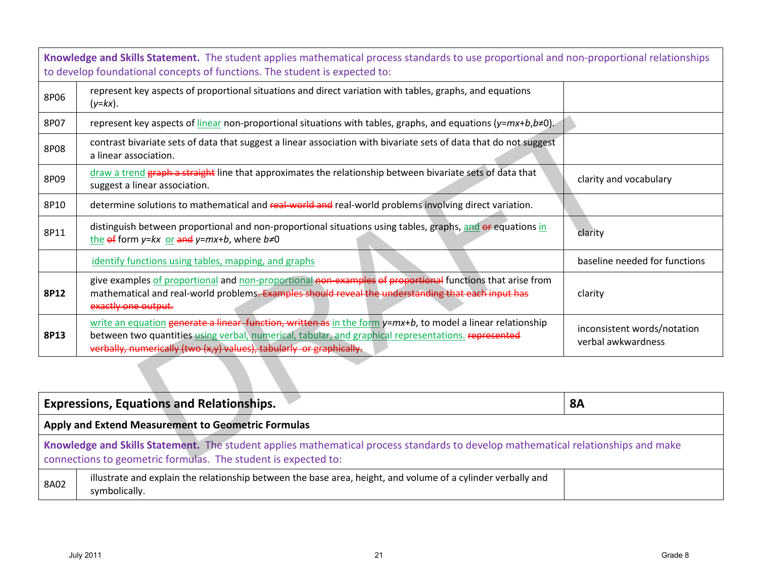|      | Knowledge and Skills Statement. The student applies mathematical process standards to use proportional and non-proportional relationships<br>to develop foundational concepts of functions. The student is expected to:                                                                    |                                                   |
|------|--------------------------------------------------------------------------------------------------------------------------------------------------------------------------------------------------------------------------------------------------------------------------------------------|---------------------------------------------------|
| 8P06 | represent key aspects of proportional situations and direct variation with tables, graphs, and equations<br>$(y=kx)$ .                                                                                                                                                                     |                                                   |
| 8P07 | represent key aspects of linear non-proportional situations with tables, graphs, and equations $(y=mx+b,b\neq 0)$ .                                                                                                                                                                        |                                                   |
| 8P08 | contrast bivariate sets of data that suggest a linear association with bivariate sets of data that do not suggest<br>a linear association.                                                                                                                                                 |                                                   |
| 8P09 | draw a trend graph a straight line that approximates the relationship between bivariate sets of data that<br>suggest a linear association.                                                                                                                                                 | clarity and vocabulary                            |
| 8P10 | determine solutions to mathematical and real-world and real-world problems involving direct variation.                                                                                                                                                                                     |                                                   |
| 8P11 | distinguish between proportional and non-proportional situations using tables, graphs, and or equations in<br>the $\theta$ form y=kx or and y=mx+b, where b≠0                                                                                                                              | clarity                                           |
|      | identify functions using tables, mapping, and graphs                                                                                                                                                                                                                                       | baseline needed for functions                     |
| 8P12 | give examples of proportional and non-proportional non-examples of proportional functions that arise from<br>mathematical and real-world problems. Examples should reveal the understanding that each input has<br>exactly one output.                                                     | clarity                                           |
| 8P13 | write an equation generate a linear, function, written as in the form y=mx+b, to model a linear relationship<br>between two quantities using verbal, numerical, tabular, and graphical representations. represented<br>verbally, numerically (two (x,y) values), tabularly or graphically. | inconsistent words/notation<br>verbal awkwardness |
|      |                                                                                                                                                                                                                                                                                            |                                                   |
|      | <b>Expressions, Equations and Relationships.</b>                                                                                                                                                                                                                                           | <b>8A</b>                                         |
|      | Apply and Extend Measurement to Geometric Formulas                                                                                                                                                                                                                                         |                                                   |
|      | Knowledge and Skills Statement. The student applies mathematical process standards to develop mathematical relationships and make<br>connections to geometric formulas. The student is expected to:                                                                                        |                                                   |

| <b>Expressions, Equations and Relationships.</b>                                                                                                                                                    |                                                                                                                               | 8A |  |
|-----------------------------------------------------------------------------------------------------------------------------------------------------------------------------------------------------|-------------------------------------------------------------------------------------------------------------------------------|----|--|
| Apply and Extend Measurement to Geometric Formulas                                                                                                                                                  |                                                                                                                               |    |  |
| Knowledge and Skills Statement. The student applies mathematical process standards to develop mathematical relationships and make<br>connections to geometric formulas. The student is expected to: |                                                                                                                               |    |  |
| 8A02                                                                                                                                                                                                | illustrate and explain the relationship between the base area, height, and volume of a cylinder verbally and<br>symbolically. |    |  |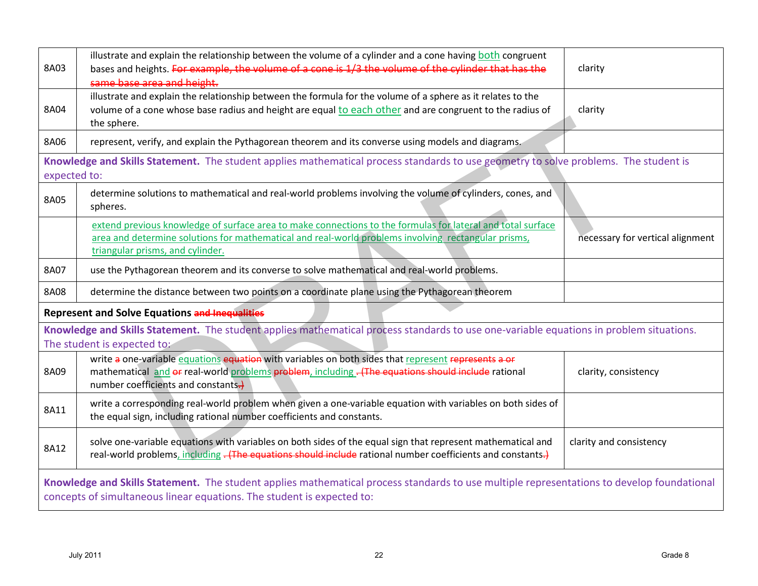| 8A03                                                                                                                                                                                                                 | illustrate and explain the relationship between the volume of a cylinder and a cone having both congruent<br>bases and heights. For example, the volume of a cone is 1/3 the volume of the cylinder that has the<br>same base area and height.         | clarity                          |  |
|----------------------------------------------------------------------------------------------------------------------------------------------------------------------------------------------------------------------|--------------------------------------------------------------------------------------------------------------------------------------------------------------------------------------------------------------------------------------------------------|----------------------------------|--|
| 8A04                                                                                                                                                                                                                 | illustrate and explain the relationship between the formula for the volume of a sphere as it relates to the<br>volume of a cone whose base radius and height are equal to each other and are congruent to the radius of<br>the sphere.                 | clarity                          |  |
| 8A06                                                                                                                                                                                                                 | represent, verify, and explain the Pythagorean theorem and its converse using models and diagrams.                                                                                                                                                     |                                  |  |
| expected to:                                                                                                                                                                                                         | Knowledge and Skills Statement. The student applies mathematical process standards to use geometry to solve problems. The student is                                                                                                                   |                                  |  |
| 8A05                                                                                                                                                                                                                 | determine solutions to mathematical and real-world problems involving the volume of cylinders, cones, and<br>spheres.                                                                                                                                  |                                  |  |
|                                                                                                                                                                                                                      | extend previous knowledge of surface area to make connections to the formulas for lateral and total surface<br>area and determine solutions for mathematical and real-world problems involving rectangular prisms,<br>triangular prisms, and cylinder. | necessary for vertical alignment |  |
| 8A07                                                                                                                                                                                                                 | use the Pythagorean theorem and its converse to solve mathematical and real-world problems.                                                                                                                                                            |                                  |  |
| 8A08                                                                                                                                                                                                                 | determine the distance between two points on a coordinate plane using the Pythagorean theorem                                                                                                                                                          |                                  |  |
|                                                                                                                                                                                                                      | <b>Represent and Solve Equations and Inequalities</b>                                                                                                                                                                                                  |                                  |  |
| Knowledge and Skills Statement. The student applies mathematical process standards to use one-variable equations in problem situations.<br>The student is expected to:                                               |                                                                                                                                                                                                                                                        |                                  |  |
| 8A09                                                                                                                                                                                                                 | write a one-variable equations equation with variables on both sides that represent represents a or<br>mathematical and or real-world problems problem, including - (The equations should include rational<br>number coefficients and constants.)      | clarity, consistency             |  |
| 8A11                                                                                                                                                                                                                 | write a corresponding real-world problem when given a one-variable equation with variables on both sides of<br>the equal sign, including rational number coefficients and constants.                                                                   |                                  |  |
| 8A12                                                                                                                                                                                                                 | solve one-variable equations with variables on both sides of the equal sign that represent mathematical and<br>real-world problems, including - (The equations should include rational number coefficients and constants.)                             | clarity and consistency          |  |
| Knowledge and Skills Statement. The student applies mathematical process standards to use multiple representations to develop foundational<br>concepts of simultaneous linear equations. The student is expected to: |                                                                                                                                                                                                                                                        |                                  |  |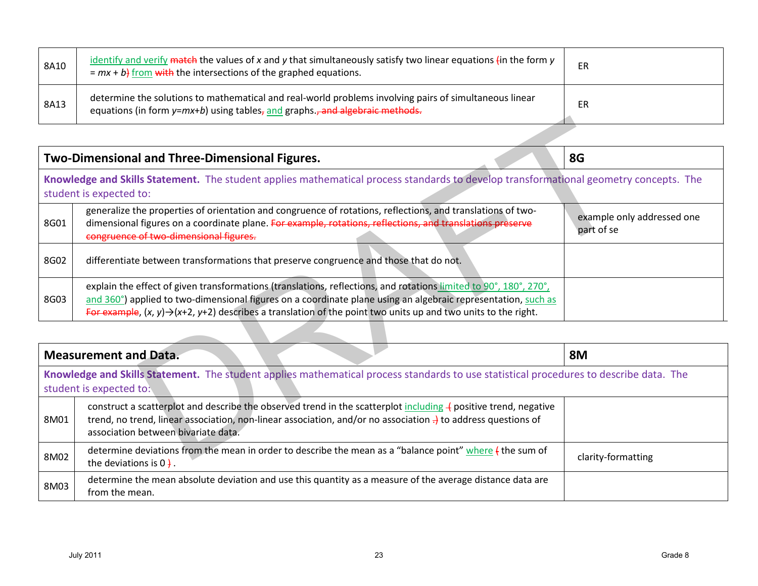| 8A10 | identify and verify match the values of x and y that simultaneously satisfy two linear equations (in the form y<br>$= mx + b$ from with the intersections of the graphed equations.    | ER |
|------|----------------------------------------------------------------------------------------------------------------------------------------------------------------------------------------|----|
| 8A13 | determine the solutions to mathematical and real-world problems involving pairs of simultaneous linear<br>equations (in form y=mx+b) using tables, and graphs., and algebraic methods. | ER |

|                              | Two-Dimensional and Three-Dimensional Figures.                                                                                                                                                                                                                                                                                                                   | 8G                                       |
|------------------------------|------------------------------------------------------------------------------------------------------------------------------------------------------------------------------------------------------------------------------------------------------------------------------------------------------------------------------------------------------------------|------------------------------------------|
|                              | Knowledge and Skills Statement. The student applies mathematical process standards to develop transformational geometry concepts. The<br>student is expected to:                                                                                                                                                                                                 |                                          |
| 8G01                         | generalize the properties of orientation and congruence of rotations, reflections, and translations of two-<br>dimensional figures on a coordinate plane. For example, rotations, reflections, and translations preserve<br>congruence of two-dimensional figures.                                                                                               | example only addressed one<br>part of se |
| 8G02                         | differentiate between transformations that preserve congruence and those that do not.                                                                                                                                                                                                                                                                            |                                          |
| 8G03                         | explain the effect of given transformations (translations, reflections, and rotations limited to 90°, 180°, 270°,<br>and 360°) applied to two-dimensional figures on a coordinate plane using an algebraic representation, such as<br>For example, $(x, y) \rightarrow (x+2, y+2)$ describes a translation of the point two units up and two units to the right. |                                          |
|                              |                                                                                                                                                                                                                                                                                                                                                                  |                                          |
| <b>Measurement and Data.</b> |                                                                                                                                                                                                                                                                                                                                                                  | <b>8M</b>                                |
|                              | Knowledge and Skills Statement. The student applies mathematical process standards to use statistical procedures to describe data. The<br>student is expected to:                                                                                                                                                                                                |                                          |
| 8M01                         | construct a scatterplot and describe the observed trend in the scatterplot including $\frac{1}{2}$ positive trend, negative<br>trend, no trend, linear association, non-linear association, and/or no association $\frac{1}{2}$ to address questions of<br>association between bivariate data.                                                                   |                                          |
| 8M02                         | determine deviations from the mean in order to describe the mean as a "balance point" where { the sum of                                                                                                                                                                                                                                                         | clarity-formatting                       |

| <b>Measurement and Data.</b>                                                                                                                                      |                                                                                                                                                                                                                                                                                                | <b>8M</b>          |  |  |
|-------------------------------------------------------------------------------------------------------------------------------------------------------------------|------------------------------------------------------------------------------------------------------------------------------------------------------------------------------------------------------------------------------------------------------------------------------------------------|--------------------|--|--|
| Knowledge and Skills Statement. The student applies mathematical process standards to use statistical procedures to describe data. The<br>student is expected to: |                                                                                                                                                                                                                                                                                                |                    |  |  |
| 8M01                                                                                                                                                              | construct a scatterplot and describe the observed trend in the scatterplot including $\frac{1}{2}$ positive trend, negative<br>trend, no trend, linear association, non-linear association, and/or no association $\frac{1}{2}$ to address questions of<br>association between bivariate data. |                    |  |  |
| 8M02                                                                                                                                                              | determine deviations from the mean in order to describe the mean as a "balance point" where $\ddot{\textbf{t}}$ the sum of<br>the deviations is $0 +$                                                                                                                                          | clarity-formatting |  |  |
| 8M03                                                                                                                                                              | determine the mean absolute deviation and use this quantity as a measure of the average distance data are<br>from the mean.                                                                                                                                                                    |                    |  |  |